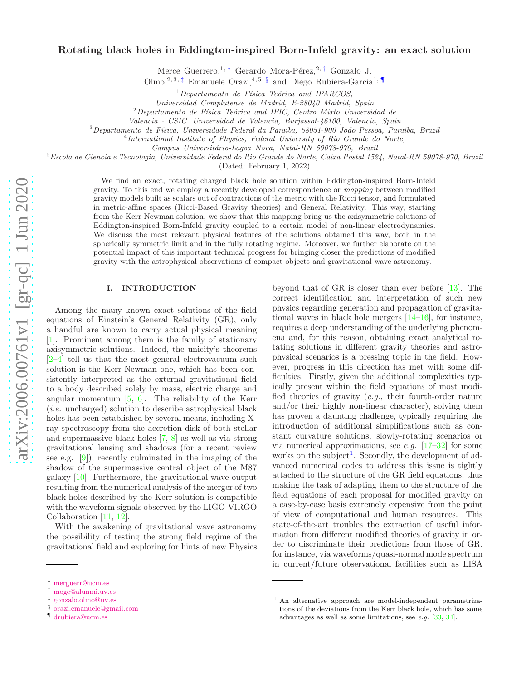# Rotating black holes in Eddington-inspired Born-Infeld gravity: an exact solution

Merce Guerrero,<sup>1,\*</sup> Gerardo Mora-Pérez,<sup>2,[†](#page-0-1)</sup> Gonzalo J.

Olmo,<sup>2, 3, [‡](#page-0-2)</sup> Emanuele Orazi,<sup>4, 5, [§](#page-0-3)</sup> and Diego Rubiera-Garcia<sup>1,</sup>

 $1$ Departamento de Física Teórica and IPARCOS,

Universidad Complutense de Madrid, E-28040 Madrid, Spain

 $2$ Departamento de Física Teórica and IFIC, Centro Mixto Universidad de

Valencia - CSIC. Universidad de Valencia, Burjassot-46100, Valencia, Spain

 $3$ Departamento de Física, Universidade Federal da Paraíba, 58051-900 João Pessoa, Paraíba, Brazil

<sup>4</sup>International Institute of Physics, Federal University of Rio Grande do Norte,

Campus Universitário-Lagoa Nova, Natal-RN 59078-970, Brazil

<sup>5</sup>Escola de Ciencia e Tecnologia, Universidade Federal do Rio Grande do Norte, Caixa Postal 1524, Natal-RN 59078-970, Brazil

(Dated: February 1, 2022)

We find an exact, rotating charged black hole solution within Eddington-inspired Born-Infeld gravity. To this end we employ a recently developed correspondence or mapping between modified gravity models built as scalars out of contractions of the metric with the Ricci tensor, and formulated in metric-affine spaces (Ricci-Based Gravity theories) and General Relativity. This way, starting from the Kerr-Newman solution, we show that this mapping bring us the axisymmetric solutions of Eddington-inspired Born-Infeld gravity coupled to a certain model of non-linear electrodynamics. We discuss the most relevant physical features of the solutions obtained this way, both in the spherically symmetric limit and in the fully rotating regime. Moreover, we further elaborate on the potential impact of this important technical progress for bringing closer the predictions of modified gravity with the astrophysical observations of compact objects and gravitational wave astronomy.

### I. INTRODUCTION

Among the many known exact solutions of the field equations of Einstein's General Relativity (GR), only a handful are known to carry actual physical meaning [\[1\]](#page-15-0). Prominent among them is the family of stationary axisymmetric solutions. Indeed, the unicity's theorems [\[2](#page-15-1)[–4\]](#page-15-2) tell us that the most general electrovacuum such solution is the Kerr-Newman one, which has been consistently interpreted as the external gravitational field to a body described solely by mass, electric charge and angular momentum [ [5](#page-15-3) , [6](#page-15-4)]. The reliability of the Kerr  $(i.e.$  uncharged) solution to describe astrophysical black holes has been established by several means, including Xray spectroscopy from the accretion disk of both stellar and supermassive black holes [ [7](#page-15-5) , [8](#page-15-6)] as well as via strong gravitational lensing and shadows (for a recent review see e.g. [ [9](#page-15-7)]), recently culminated in the imaging of the shadow of the supermassive central object of the M87 galaxy [\[10\]](#page-15-8). Furthermore, the gravitational wave output resulting from the numerical analysis of the merger of two black holes described by the Kerr solution is compatible with the waveform signals observed by the LIGO-VIRGO Collaboration [\[11](#page-15-9) , [12\]](#page-15-10).

With the awakening of gravitational wave astronomy the possibility of testing the strong field regime of the gravitational field and exploring for hints of new Physics beyond that of GR is closer than ever before [\[13](#page-15-11)]. The correct identification and interpretation of such new physics regarding generation and propagation of gravitational waves in black hole mergers [\[14](#page-15-12)[–16\]](#page-15-13), for instance, requires a deep understanding of the underlying phenomena and, for this reason, obtaining exact analytical rotating solutions in different gravity theories and astrophysical scenarios is a pressing topic in the field. However, progress in this direction has met with some difficulties. Firstly, given the additional complexities typically present within the field equations of most modified theories of gravity  $(e.g.,\text{ their fourth-order nature})$ and/or their highly non-linear character), solving them has proven a daunting challenge, typically requiring the introduction of additional simplifications such as constant curvature solutions, slowly-rotating scenarios or via numerical approximations, see *e.g.*  $[17-32]$  $[17-32]$  for some works on the subject<sup>[1](#page-0-5)</sup>. Secondly, the development of advanced numerical codes to address this issue is tightly attached to the structure of the GR field equations, thus making the task of adapting them to the structure of the field equations of each proposal for modified gravity on a case-by-case basis extremely expensive from the point of view of computational and human resources. This state-of-the-art troubles the extraction of useful information from different modified theories of gravity in order to discriminate their predictions from those of GR, for instance, via waveforms/quasi-normal mode spectrum in current/future observational facilities such as LISA

<span id="page-0-0"></span><sup>∗</sup> [merguerr@ucm.es](mailto:merguerr@ucm.es)

<span id="page-0-1"></span><sup>†</sup> [moge@alumni.uv.es](mailto:moge@alumni.uv.es)

<span id="page-0-2"></span><sup>‡</sup> [gonzalo.olmo@uv.es](mailto:gonzalo.olmo@uv.es)

<span id="page-0-3"></span><sup>§</sup> [orazi.emanuele@gmail.com](mailto:orazi.emanuele@gmail.com)

<span id="page-0-4"></span><sup>¶</sup> [drubiera@ucm.es](mailto:drubiera@ucm.es)

<span id="page-0-5"></span><sup>1</sup> An alternative approach are model-independent parametrizations of the deviations from the Kerr black hole, which has some advantages as well as some limitations, see e.g. [\[33](#page-15-16) , [34\]](#page-15-17).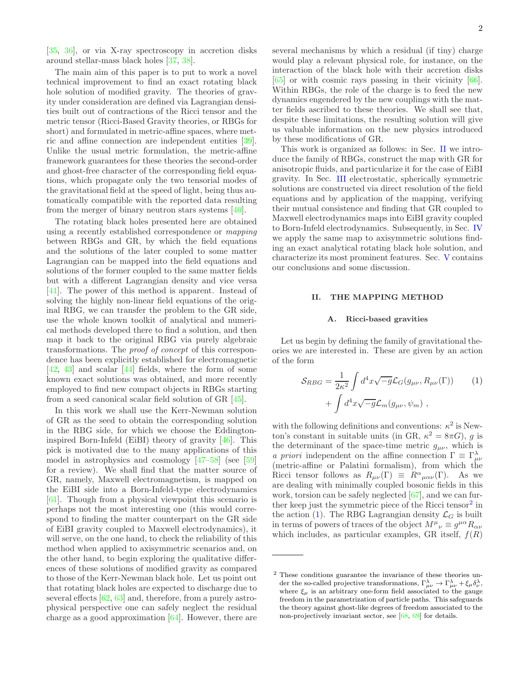[\[35,](#page-15-18) [36\]](#page-15-19), or via X-ray spectroscopy in accretion disks around stellar-mass black holes [\[37,](#page-15-20) [38](#page-15-21)].

The main aim of this paper is to put to work a novel technical improvement to find an exact rotating black hole solution of modified gravity. The theories of gravity under consideration are defined via Lagrangian densities built out of contractions of the Ricci tensor and the metric tensor (Ricci-Based Gravity theories, or RBGs for short) and formulated in metric-affine spaces, where metric and affine connection are independent entities [\[39\]](#page-15-22). Unlike the usual metric formulation, the metric-affine framework guarantees for these theories the second-order and ghost-free character of the corresponding field equations, which propagate only the two tensorial modes of the gravitational field at the speed of light, being thus automatically compatible with the reported data resulting from the merger of binary neutron stars systems [\[40\]](#page-15-23).

The rotating black holes presented here are obtained using a recently established correspondence or mapping between RBGs and GR, by which the field equations and the solutions of the later coupled to some matter Lagrangian can be mapped into the field equations and solutions of the former coupled to the same matter fields but with a different Lagrangian density and vice versa [\[41\]](#page-15-24). The power of this method is apparent. Instead of solving the highly non-linear field equations of the original RBG, we can transfer the problem to the GR side, use the whole known toolkit of analytical and numerical methods developed there to find a solution, and then map it back to the original RBG via purely algebraic transformations. The proof of concept of this correspondence has been explicitly established for electromagnetic [\[42,](#page-15-25) [43](#page-15-26)] and scalar [\[44](#page-15-27)] fields, where the form of some known exact solutions was obtained, and more recently employed to find new compact objects in RBGs starting from a seed canonical scalar field solution of GR [\[45\]](#page-15-28).

In this work we shall use the Kerr-Newman solution of GR as the seed to obtain the corresponding solution in the RBG side, for which we choose the Eddingtoninspired Born-Infeld (EiBI) theory of gravity [\[46](#page-15-29)]. This pick is motivated due to the many applications of this model in astrophysics and cosmology [\[47](#page-15-30)[–58\]](#page-15-31) (see [\[59](#page-15-32)] for a review). We shall find that the matter source of GR, namely, Maxwell electromagnetism, is mapped on the EiBI side into a Born-Infeld-type electrodynamics [\[61\]](#page-15-33). Though from a physical viewpoint this scenario is perhaps not the most interesting one (this would correspond to finding the matter counterpart on the GR side of EiBI gravity coupled to Maxwell electrodynamics), it will serve, on the one hand, to check the reliability of this method when applied to axisymmetric scenarios and, on the other hand, to begin exploring the qualitative differences of these solutions of modified gravity as compared to those of the Kerr-Newman black hole. Let us point out that rotating black holes are expected to discharge due to several effects [\[62](#page-15-34), [63](#page-15-35)] and, therefore, from a purely astrophysical perspective one can safely neglect the residual charge as a good approximation [\[64\]](#page-15-36). However, there are

several mechanisms by which a residual (if tiny) charge would play a relevant physical role, for instance, on the interaction of the black hole with their accretion disks [\[65\]](#page-15-37) or with cosmic rays passing in their vicinity [\[66\]](#page-15-38). Within RBGs, the role of the charge is to feed the new dynamics engendered by the new couplings with the matter fields ascribed to these theories. We shall see that, despite these limitations, the resulting solution will give us valuable information on the new physics introduced by these modifications of GR.

This work is organized as follows: in Sec. [II](#page-1-0) we introduce the family of RBGs, construct the map with GR for anisotropic fluids, and particularize it for the case of EiBI gravity. In Sec. [III](#page-4-0) electrostatic, spherically symmetric solutions are constructed via direct resolution of the field equations and by application of the mapping, verifying their mutual consistence and finding that GR coupled to Maxwell electrodynamics maps into EiBI gravity coupled to Born-Infeld electrodynamics. Subsequently, in Sec. [IV](#page-9-0) we apply the same map to axisymmetric solutions finding an exact analytical rotating black hole solution, and characterize its most prominent features. Sec. [V](#page-14-0) contains our conclusions and some discussion.

## <span id="page-1-0"></span>II. THE MAPPING METHOD

### A. Ricci-based gravities

Let us begin by defining the family of gravitational theories we are interested in. These are given by an action of the form

<span id="page-1-2"></span>
$$
S_{RBG} = \frac{1}{2\kappa^2} \int d^4x \sqrt{-g} \mathcal{L}_G(g_{\mu\nu}, R_{\mu\nu}(\Gamma)) \qquad (1)
$$

$$
+ \int d^4x \sqrt{-g} \mathcal{L}_m(g_{\mu\nu}, \psi_m) ,
$$

with the following definitions and conventions:  $\kappa^2$  is Newton's constant in suitable units (in GR,  $\kappa^2 = 8\pi G$ ), g is the determinant of the space-time metric  $g_{\mu\nu}$ , which is *a priori* independent on the affine connection  $\Gamma \equiv \Gamma^{\lambda}_{\mu\nu}$ (metric-affine or Palatini formalism), from which the Ricci tensor follows as  $R_{\mu\nu}(\Gamma) \equiv R^{\alpha}{}_{\mu\alpha\nu}(\Gamma)$ . As we are dealing with minimally coupled bosonic fields in this work, torsion can be safely neglected [\[67\]](#page-15-39), and we can fur-ther keep just the symmetric piece of the Ricci tensor<sup>[2](#page-1-1)</sup> in the action [\(1\)](#page-1-2). The RBG Lagrangian density  $\mathcal{L}_G$  is built in terms of powers of traces of the object  $M^{\mu}{}_{\nu} \equiv g^{\mu\alpha}R_{\alpha\nu}$ which includes, as particular examples, GR itself,  $f(R)$ 

<span id="page-1-1"></span><sup>2</sup> These conditions guarantee the invariance of these theories under the so-called projective transformations,  $\Gamma^{\lambda}_{\mu\nu} \to \Gamma^{\lambda}_{\mu\nu} + \xi_{\mu} \delta^{\lambda}_{\nu}$ , where  $\xi_{\mu}$  is an arbitrary one-form field associated to the gauge freedom in the parametrization of particle paths. This safeguards the theory against ghost-like degrees of freedom associated to the non-projectively invariant sector, see [\[68,](#page-16-0) [69\]](#page-16-1) for details.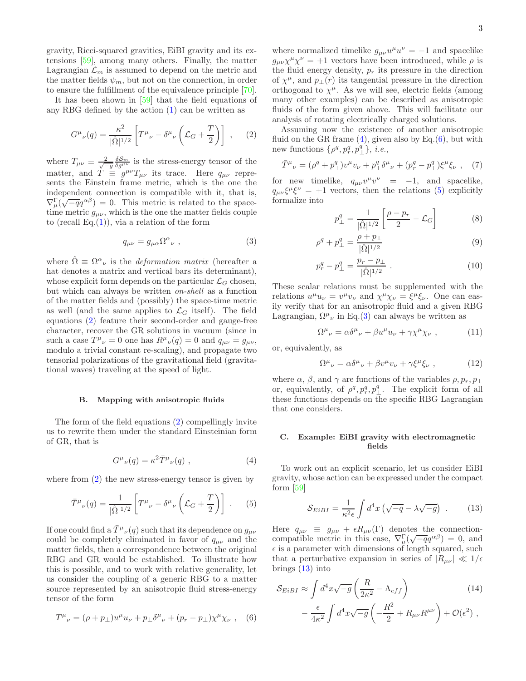gravity, Ricci-squared gravities, EiBI gravity and its extensions [\[59](#page-15-32)], among many others. Finally, the matter Lagrangian  $\mathcal{L}_m$  is assumed to depend on the metric and the matter fields  $\psi_m$ , but not on the connection, in order to ensure the fulfillment of the equivalence principle [\[70\]](#page-16-2).

It has been shown in [\[59](#page-15-32)] that the field equations of any RBG defined by the action [\(1\)](#page-1-2) can be written as

<span id="page-2-0"></span>
$$
G^{\mu}{}_{\nu}(q) = \frac{\kappa^2}{|\hat{\Omega}|^{1/2}} \left[ T^{\mu}{}_{\nu} - \delta^{\mu}{}_{\nu} \left( \mathcal{L}_G + \frac{T}{2} \right) \right] , \quad (2)
$$

where  $T_{\mu\nu} \equiv \frac{2}{\sqrt{-g}} \frac{\delta S_m}{\delta g^{\mu\nu}}$  is the stress-energy tensor of the matter, and  $\dot{T} = g^{\mu\nu} T_{\mu\nu}$  its trace. Here  $q_{\mu\nu}$  represents the Einstein frame metric, which is the one the independent connection is compatible with it, that is,  $\nabla^{\Gamma}_{\mu}(\sqrt{-q}q^{\alpha\beta})=0$ . This metric is related to the spacetime metric  $g_{\mu\nu}$ , which is the one the matter fields couple to (recall Eq. $(1)$ ), via a relation of the form

<span id="page-2-4"></span>
$$
q_{\mu\nu} = g_{\mu\alpha} \Omega^{\alpha}{}_{\nu} , \qquad (3)
$$

where  $\hat{\Omega} \equiv \Omega^{\alpha}{}_{\nu}$  is the *deformation matrix* (hereafter a hat denotes a matrix and vertical bars its determinant), whose explicit form depends on the particular  $\mathcal{L}_G$  chosen, but which can always be written on-shell as a function of the matter fields and (possibly) the space-time metric as well (and the same applies to  $\mathcal{L}_G$  itself). The field equations [\(2\)](#page-2-0) feature their second-order and gauge-free character, recover the GR solutions in vacuum (since in such a case  $T^{\mu}{}_{\nu}=0$  one has  $R^{\mu}{}_{\nu}(q)=0$  and  $q_{\mu\nu}=g_{\mu\nu}$ , modulo a trivial constant re-scaling), and propagate two tensorial polarizations of the gravitational field (gravitational waves) traveling at the speed of light.

#### B. Mapping with anisotropic fluids

The form of the field equations [\(2\)](#page-2-0) compellingly invite us to rewrite them under the standard Einsteinian form of GR, that is

<span id="page-2-1"></span>
$$
G^{\mu}{}_{\nu}(q) = \kappa^2 \bar{T}^{\mu}{}_{\nu}(q) , \qquad (4)
$$

where from  $(2)$  the new stress-energy tensor is given by

<span id="page-2-3"></span>
$$
\bar{T}^{\mu}{}_{\nu}(q) = \frac{1}{|\hat{\Omega}|^{1/2}} \left[ T^{\mu}{}_{\nu} - \delta^{\mu}{}_{\nu} \left( \mathcal{L}_G + \frac{T}{2} \right) \right] . \tag{5}
$$

If one could find a  $\bar{T}^{\mu}{}_{\nu}(q)$  such that its dependence on  $g_{\mu\nu}$ could be completely eliminated in favor of  $q_{\mu\nu}$  and the matter fields, then a correspondence between the original RBG and GR would be established. To illustrate how this is possible, and to work with relative generality, let us consider the coupling of a generic RBG to a matter source represented by an anisotropic fluid stress-energy tensor of the form

<span id="page-2-2"></span>
$$
T^{\mu}{}_{\nu} = (\rho + p_{\perp})u^{\mu}u_{\nu} + p_{\perp}\delta^{\mu}{}_{\nu} + (p_r - p_{\perp})\chi^{\mu}\chi_{\nu} , \quad (6)
$$

where normalized timelike  $g_{\mu\nu}u^{\mu}u^{\nu} = -1$  and spacelike  $g_{\mu\nu}\chi^{\mu}\chi^{\nu} = +1$  vectors have been introduced, while  $\rho$  is the fluid energy density,  $p_r$  its pressure in the direction of  $\chi^{\mu}$ , and  $p_{\perp}(r)$  its tangential pressure in the direction orthogonal to  $\chi^{\mu}$ . As we will see, electric fields (among many other examples) can be described as anisotropic fluids of the form given above. This will facilitate our analysis of rotating electrically charged solutions.

Assuming now the existence of another anisotropic fluid on the GR frame  $(4)$ , given also by Eq. $(6)$ , but with new functions  $\{\rho^q, p^q, p^q_\perp\}, i.e.,$ 

<span id="page-2-7"></span>
$$
\bar{T}^{\mu}{}_{\nu} = (\rho^q + p^q_{\perp})v^{\mu}v_{\nu} + p^q_{\perp}\delta^{\mu}{}_{\nu} + (p^q_{r} - p^q_{\perp})\xi^{\mu}\xi_{\nu} , \quad (7)
$$

for new timelike,  $q_{\mu\nu}v^{\mu}v^{\nu} = -1$ , and spacelike,  $q_{\mu\nu}\xi^{\mu}\xi^{\nu} = +1$  vectors, then the relations [\(5\)](#page-2-3) explicitly formalize into

<span id="page-2-6"></span>
$$
p_{\perp}^{q} = \frac{1}{|\hat{\Omega}|^{1/2}} \left[ \frac{\rho - p_r}{2} - \mathcal{L}_G \right]
$$
 (8)

$$
\rho^q + p_\perp^q = \frac{\rho + p_\perp}{|\hat{\Omega}|^{1/2}}\tag{9}
$$

$$
p_r^q - p_\perp^q = \frac{p_r - p_\perp}{|\hat{\Omega}|^{1/2}} \,. \tag{10}
$$

These scalar relations must be supplemented with the relations  $u^{\mu}u_{\nu} = v^{\mu}v_{\nu}$  and  $\chi^{\mu}\chi_{\nu} = \xi^{\mu}\xi_{\nu}$ . One can easily verify that for an anisotropic fluid and a given RBG Lagrangian,  $\Omega^{\mu}{}_{\nu}$  in Eq.[\(3\)](#page-2-4) can always be written as

$$
\Omega^{\mu}{}_{\nu} = \alpha \delta^{\mu}{}_{\nu} + \beta u^{\mu} u_{\nu} + \gamma \chi^{\mu} \chi_{\nu} , \qquad (11)
$$

or, equivalently, as

$$
\Omega^{\mu}{}_{\nu} = \alpha \delta^{\mu}{}_{\nu} + \beta v^{\mu} v_{\nu} + \gamma \xi^{\mu} \xi_{\nu} , \qquad (12)
$$

where  $\alpha$ ,  $\beta$ , and  $\gamma$  are functions of the variables  $\rho$ ,  $p_r$ ,  $p_\perp$ or, equivalently, of  $\rho^q$ ,  $p^q_r$ ,  $p^q_\perp$ . The explicit form of all these functions depends on the specific RBG Lagrangian that one considers.

## C. Example: EiBI gravity with electromagnetic fields

To work out an explicit scenario, let us consider EiBI gravity, whose action can be expressed under the compact form [\[59](#page-15-32)]

<span id="page-2-5"></span>
$$
S_{EiBI} = \frac{1}{\kappa^2 \epsilon} \int d^4x \left( \sqrt{-q} - \lambda \sqrt{-g} \right) . \tag{13}
$$

Here  $q_{\mu\nu} \equiv g_{\mu\nu} + \epsilon R_{\mu\nu}(\Gamma)$  denotes the connectioncompatible metric in this case,  $\nabla_{\mu}^{\Gamma}(\sqrt{-q}q^{\alpha\beta}) = 0$ , and  $\epsilon$  is a parameter with dimensions of length squared, such that a perturbative expansion in series of  $|R_{\mu\nu}| \ll 1/\epsilon$ brings [\(13\)](#page-2-5) into

$$
S_{EiBI} \approx \int d^4x \sqrt{-g} \left(\frac{R}{2\kappa^2} - \Lambda_{eff}\right) \tag{14}
$$

$$
-\frac{\epsilon}{4\kappa^2} \int d^4x \sqrt{-g} \left(-\frac{R^2}{2} + R_{\mu\nu}R^{\mu\nu}\right) + \mathcal{O}(\epsilon^2) ,
$$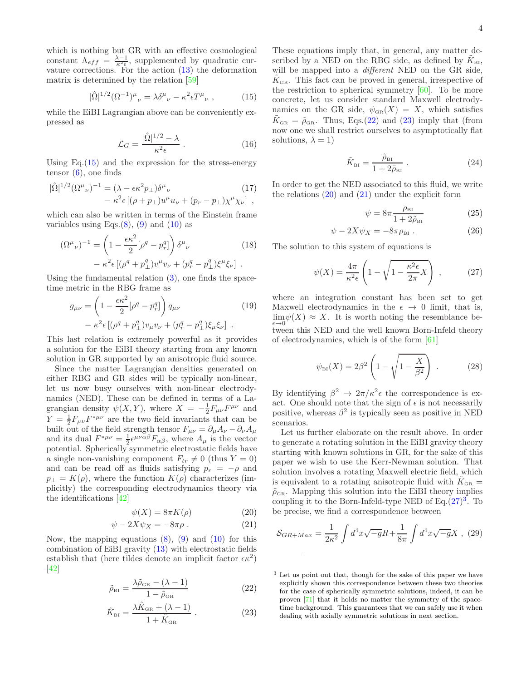which is nothing but GR with an effective cosmological constant  $\Lambda_{eff} = \frac{\lambda - 1}{\kappa^2 \epsilon}$ , supplemented by quadratic curvature corrections. For the action  $(13)$  the deformation matrix is determined by the relation [\[59\]](#page-15-32)

<span id="page-3-0"></span>
$$
|\hat{\Omega}|^{1/2}(\Omega^{-1})^{\mu}{}_{\nu} = \lambda \delta^{\mu}{}_{\nu} - \kappa^2 \epsilon T^{\mu}{}_{\nu} , \qquad (15)
$$

while the EiBI Lagrangian above can be conveniently expressed as

<span id="page-3-5"></span>
$$
\mathcal{L}_G = \frac{|\hat{\Omega}|^{1/2} - \lambda}{\kappa^2 \epsilon} \,. \tag{16}
$$

Using  $Eq.(15)$  $Eq.(15)$  and the expression for the stress-energy tensor  $(6)$ , one finds

$$
|\hat{\Omega}|^{1/2} (\Omega^{\mu}{}_{\nu})^{-1} = (\lambda - \epsilon \kappa^2 p_{\perp}) \delta^{\mu}{}_{\nu} \qquad (17)
$$

$$
- \kappa^2 \epsilon \left[ (\rho + p_{\perp}) u^{\mu} u_{\nu} + (p_r - p_{\perp}) \chi^{\mu} \chi_{\nu} \right] ,
$$

which can also be written in terms of the Einstein frame variables using Eqs. $(8)$ ,  $(9)$  and  $(10)$  as

<span id="page-3-7"></span>
$$
(\Omega^{\mu}{}_{\nu})^{-1} = \left(1 - \frac{\epsilon \kappa^2}{2} [\rho^q - p_r^q]\right) \delta^{\mu}{}_{\nu} \qquad (18)
$$

$$
- \kappa^2 \epsilon \left[ (\rho^q + p_\perp^q) v^{\mu} v_{\nu} + (p_r^q - p_\perp^q) \xi^{\mu} \xi_{\nu} \right] .
$$

Using the fundamental relation  $(3)$ , one finds the spacetime metric in the RBG frame as

<span id="page-3-6"></span>
$$
g_{\mu\nu} = \left(1 - \frac{\epsilon \kappa^2}{2} [\rho^q - p_r^q]\right) q_{\mu\nu}
$$

$$
- \kappa^2 \epsilon \left[ (\rho^q + p_\perp^q) v_\mu v_\nu + (p_r^q - p_\perp^q) \xi_\mu \xi_\nu \right] .
$$
(19)

This last relation is extremely powerful as it provides a solution for the EiBI theory starting from any known solution in GR supported by an anisotropic fluid source.

Since the matter Lagrangian densities generated on either RBG and GR sides will be typically non-linear, let us now busy ourselves with non-linear electrodynamics (NED). These can be defined in terms of a Lagrangian density  $\psi(X, Y)$ , where  $X = -\frac{1}{2} F_{\mu\nu} F^{\mu\nu}$  and  $Y = \frac{1}{2} F_{\mu\nu} F^{*\mu\nu}$  are the two field invariants that can be built out of the field strength tensor  $F_{\mu\nu} = \partial_{\mu}A_{\nu} - \partial_{\nu}A_{\mu}$ and its dual  $F^{*\mu\nu} = \frac{1}{2} \epsilon^{\mu\nu\alpha\beta} F_{\alpha\beta}$ , where  $A_{\mu}$  is the vector potential. Spherically symmetric electrostatic fields have a single non-vanishing component  $F_{tr} \neq 0$  (thus  $Y = 0$ ) and can be read off as fluids satisfying  $p_r = -\rho$  and  $p_{\perp} = K(\rho)$ , where the function  $K(\rho)$  characterizes (implicitly) the corresponding electrodynamics theory via the identifications [\[42\]](#page-15-25)

<span id="page-3-2"></span>
$$
\psi(X) = 8\pi K(\rho) \tag{20}
$$

$$
\psi - 2X\psi_X = -8\pi\rho . \qquad (21)
$$

Now, the mapping equations  $(8)$ ,  $(9)$  and  $(10)$  for this combination of EiBI gravity [\(13\)](#page-2-5) with electrostatic fields establish that (here tildes denote an implicit factor  $\epsilon \kappa^2$ ) [\[42\]](#page-15-25)

<span id="page-3-1"></span>
$$
\tilde{\rho}_{\text{BI}} = \frac{\lambda \tilde{\rho}_{\text{GR}} - (\lambda - 1)}{1 - \tilde{\rho}_{\text{GR}}} \tag{22}
$$

$$
\tilde{K}_{\text{BI}} = \frac{\lambda \tilde{K}_{\text{GR}} + (\lambda - 1)}{1 + \tilde{K}_{\text{GR}}} \,. \tag{23}
$$

These equations imply that, in general, any matter described by a NED on the RBG side, as defined by  $\tilde{K}_{\text{BI}}$ , will be mapped into a *different* NED on the GR side,  $\tilde{K}_{\text{GR}}$ . This fact can be proved in general, irrespective of the restriction to spherical symmetry [\[60\]](#page-15-40). To be more concrete, let us consider standard Maxwell electrodynamics on the GR side,  $\psi_{\text{GR}}(X) = X$ , which satisfies  $\tilde{K}_{\text{GR}} = \tilde{\rho}_{\text{GR}}$ . Thus, Eqs.[\(22\)](#page-3-1) and [\(23\)](#page-3-1) imply that (from now one we shall restrict ourselves to asymptotically flat solutions,  $\lambda = 1$ )

$$
\tilde{K}_{\text{BI}} = \frac{\tilde{\rho}_{\text{BI}}}{1 + 2\tilde{\rho}_{\text{BI}}} \ . \tag{24}
$$

In order to get the NED associated to this fluid, we write the relations  $(20)$  and  $(21)$  under the explicit form

$$
\psi = 8\pi \frac{\rho_{\text{BI}}}{1 + 2\tilde{\rho}_{\text{BI}}} \tag{25}
$$

$$
\psi - 2X\psi_X = -8\pi\rho_{\rm BI} \ . \tag{26}
$$

The solution to this system of equations is

<span id="page-3-3"></span>
$$
\psi(X) = \frac{4\pi}{\kappa^2 \epsilon} \left( 1 - \sqrt{1 - \frac{\kappa^2 \epsilon}{2\pi} X} \right) ,\qquad (27)
$$

where an integration constant has been set to get Maxwell electrodynamics in the  $\epsilon \to 0$  limit, that is,  $\lim_{\epsilon \to 0} \psi(X) \approx X$ . It is worth noting the resemblance between this NED and the well known Born-Infeld theory of electrodynamics, which is of the form [\[61\]](#page-15-33)

$$
\psi_{\text{BI}}(X) = 2\beta^2 \left(1 - \sqrt{1 - \frac{X}{\beta^2}}\right) \,. \tag{28}
$$

By identifying  $\beta^2 \to 2\pi/\kappa^2 \epsilon$  the correspondence is exact. One should note that the sign of  $\epsilon$  is not necessarily positive, whereas  $\beta^2$  is typically seen as positive in NED scenarios.

Let us further elaborate on the result above. In order to generate a rotating solution in the EiBI gravity theory starting with known solutions in GR, for the sake of this paper we wish to use the Kerr-Newman solution. That solution involves a rotating Maxwell electric field, which is equivalent to a rotating anisotropic fluid with  $\tilde{K}_{\text{GR}} =$  $\tilde{\rho}_{\text{GR}}$ . Mapping this solution into the EiBI theory implies coupling it to the Born-Infeld-type NED of  $Eq.(27)^3$  $Eq.(27)^3$  $Eq.(27)^3$  $Eq.(27)^3$ . To be precise, we find a correspondence between

<span id="page-3-8"></span>
$$
S_{GR+Max} = \frac{1}{2\kappa^2} \int d^4x \sqrt{-g}R + \frac{1}{8\pi} \int d^4x \sqrt{-g}X \ , \ (29)
$$

<span id="page-3-4"></span><sup>3</sup> Let us point out that, though for the sake of this paper we have explicitly shown this correspondence between these two theories for the case of spherically symmetric solutions, indeed, it can be proven [\[71](#page-16-3)] that it holds no matter the symmetry of the spacetime background. This guarantees that we can safely use it when dealing with axially symmetric solutions in next section.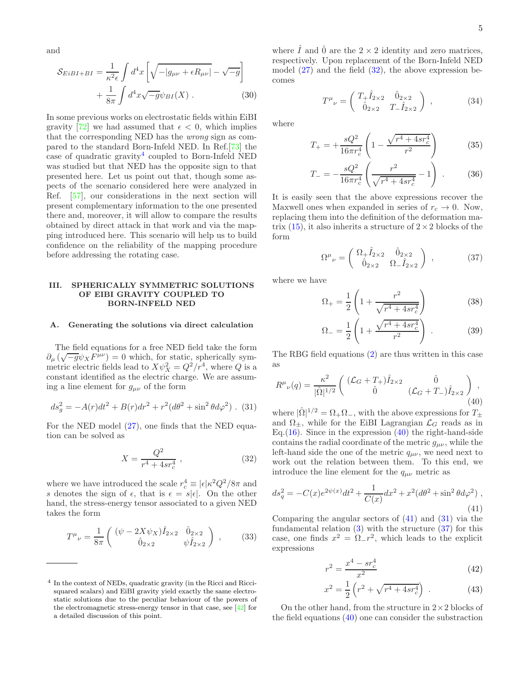and

<span id="page-4-9"></span>
$$
S_{EiBI+BI} = \frac{1}{\kappa^2 \epsilon} \int d^4x \left[ \sqrt{-|g_{\mu\nu} + \epsilon R_{\mu\nu}|} - \sqrt{-g} \right] + \frac{1}{8\pi} \int d^4x \sqrt{-g} \psi_{BI}(X) . \tag{30}
$$

In some previous works on electrostatic fields within EiBI gravity [\[72](#page-16-4)] we had assumed that  $\epsilon < 0$ , which implies that the corresponding NED has the wrong sign as compared to the standard Born-Infeld NED. In Ref.[\[73\]](#page-16-5) the case of quadratic gravity<sup>[4](#page-4-1)</sup> coupled to Born-Infeld NED was studied but that NED has the opposite sign to that presented here. Let us point out that, though some aspects of the scenario considered here were analyzed in Ref. [\[57](#page-15-41)], our considerations in the next section will present complementary information to the one presented there and, moreover, it will allow to compare the results obtained by direct attack in that work and via the mapping introduced here. This scenario will help us to build confidence on the reliability of the mapping procedure before addressing the rotating case.

## <span id="page-4-0"></span>III. SPHERICALLY SYMMETRIC SOLUTIONS OF EIBI GRAVITY COUPLED TO BORN-INFELD NED

## A. Generating the solutions via direct calculation

The field equations for a free NED field take the form  $\partial_{\mu}(\sqrt{-g}\psi_{X}F^{\mu\nu})=0$  which, for static, spherically symmetric electric fields lead to  $X\psi_X^2 = Q^2/r^4$ , where Q is a constant identified as the electric charge. We are assuming a line element for  $g_{\mu\nu}$  of the form

<span id="page-4-5"></span>
$$
ds_g^2 = -A(r)dt^2 + B(r)dr^2 + r^2(d\theta^2 + \sin^2\theta d\varphi^2)
$$
 (31)

For the NED model [\(27\)](#page-3-3), one finds that the NED equation can be solved as

<span id="page-4-2"></span>
$$
X = \frac{Q^2}{r^4 + 4sr_c^4} \,,\tag{32}
$$

where we have introduced the scale  $r_c^4 \equiv |\epsilon| \kappa^2 Q^2 / 8\pi$  and s denotes the sign of  $\epsilon$ , that is  $\epsilon = s|\epsilon|$ . On the other hand, the stress-energy tensor associated to a given NED takes the form

$$
T^{\mu}{}_{\nu} = \frac{1}{8\pi} \begin{pmatrix} (\psi - 2X\psi_X)\hat{I}_{2\times 2} & \hat{0}_{2\times 2} \\ \hat{0}_{2\times 2} & \psi \hat{I}_{2\times 2} \end{pmatrix} , \quad (33)
$$

where  $\hat{I}$  and  $\hat{0}$  are the  $2 \times 2$  identity and zero matrices, respectively. Upon replacement of the Born-Infeld NED model  $(27)$  and the field  $(32)$ , the above expression becomes

$$
T^{\mu}{}_{\nu} = \begin{pmatrix} T_{+} \hat{I}_{2 \times 2} & \hat{0}_{2 \times 2} \\ \hat{0}_{2 \times 2} & T_{-} \hat{I}_{2 \times 2} \end{pmatrix} , \qquad (34)
$$

where

$$
T_{+} = +\frac{sQ^2}{16\pi r_c^4} \left(1 - \frac{\sqrt{r^4 + 4sr_c^4}}{r^2}\right) \tag{35}
$$

$$
T_{-} = -\frac{sQ^2}{16\pi r_c^4} \left( \frac{r^2}{\sqrt{r^4 + 4sr_c^4}} - 1 \right) \,. \tag{36}
$$

It is easily seen that the above expressions recover the Maxwell ones when expanded in series of  $r_c \to 0$ . Now, replacing them into the definition of the deformation matrix  $(15)$ , it also inherits a structure of  $2 \times 2$  blocks of the form

<span id="page-4-6"></span>
$$
\Omega^{\mu}{}_{\nu} = \begin{pmatrix} \Omega_{+} \hat{I}_{2 \times 2} & \hat{0}_{2 \times 2} \\ \hat{0}_{2 \times 2} & \Omega_{-} \hat{I}_{2 \times 2} \end{pmatrix} , \qquad (37)
$$

where we have

<span id="page-4-8"></span>
$$
\Omega_{+} = \frac{1}{2} \left( 1 + \frac{r^2}{\sqrt{r^4 + 4sr_c^4}} \right) \tag{38}
$$

$$
\Omega_{-} = \frac{1}{2} \left( 1 + \frac{\sqrt{r^4 + 4sr_c^4}}{r^2} \right) \,. \tag{39}
$$

The RBG field equations [\(2\)](#page-2-0) are thus written in this case as

<span id="page-4-3"></span>
$$
R^{\mu}{}_{\nu}(q) = \frac{\kappa^2}{|\hat{\Omega}|^{1/2}} \begin{pmatrix} (\mathcal{L}_G + T_+) \hat{I}_{2 \times 2} & \hat{0} \\ \hat{0} & (\mathcal{L}_G + T_-) \hat{I}_{2 \times 2} \end{pmatrix},
$$
\n(40)

where  $|\hat{\Omega}|^{1/2} = \Omega_+ \Omega_-,$  with the above expressions for  $T_{\pm}$ and  $\Omega_{\pm}$ , while for the EiBI Lagrangian  $\mathcal{L}_G$  reads as in Eq.  $(16)$ . Since in the expression  $(40)$  the right-hand-side contains the radial coordinate of the metric  $g_{\mu\nu}$ , while the left-hand side the one of the metric  $q_{\mu\nu}$ , we need next to work out the relation between them. To this end, we introduce the line element for the  $q_{\mu\nu}$  metric as

<span id="page-4-4"></span>
$$
ds_q^2 = -C(x)e^{2\psi(x)}dt^2 + \frac{1}{C(x)}dx^2 + x^2(d\theta^2 + \sin^2\theta d\varphi^2) ,
$$
\n(41)

Comparing the angular sectors of  $(41)$  and  $(31)$  via the fundamental relation  $(3)$  with the structure  $(37)$  for this case, one finds  $x^2 = \Omega_{-} r^2$ , which leads to the explicit expressions

<span id="page-4-7"></span>
$$
r^2 = \frac{x^4 - sr_c^4}{x^2} \tag{42}
$$

$$
x^{2} = \frac{1}{2} \left( r^{2} + \sqrt{r^{4} + 4sr_{c}^{4}} \right) . \tag{43}
$$

On the other hand, from the structure in  $2\times 2$  blocks of the field equations  $(40)$  one can consider the substraction

<span id="page-4-1"></span><sup>4</sup> In the context of NEDs, quadratic gravity (in the Ricci and Riccisquared scalars) and EiBI gravity yield exactly the same electrostatic solutions due to the peculiar behaviour of the powers of the electromagnetic stress-energy tensor in that case, see [\[42](#page-15-25)] for a detailed discussion of this point.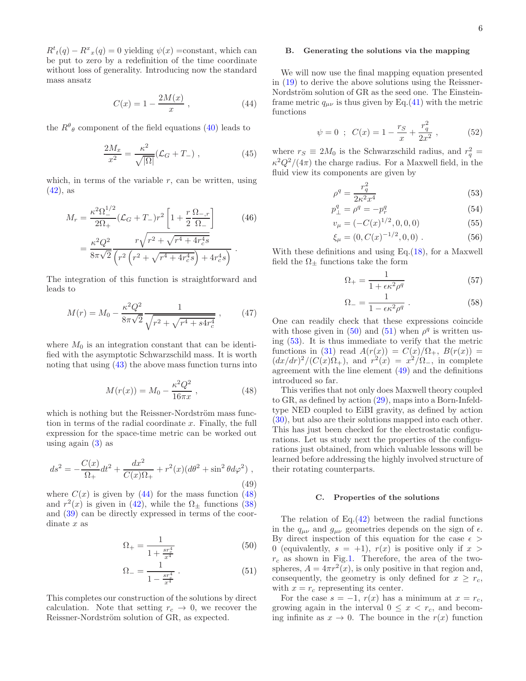$R^t(t(q) - R^x(x(q))) = 0$  yielding  $\psi(x) = \text{constant}$ , which can be put to zero by a redefinition of the time coordinate without loss of generality. Introducing now the standard mass ansatz

<span id="page-5-0"></span>
$$
C(x) = 1 - \frac{2M(x)}{x}, \t(44)
$$

the  $R^{\theta}_{\theta}$  component of the field equations [\(40\)](#page-4-3) leads to

$$
\frac{2M_x}{x^2} = \frac{\kappa^2}{\sqrt{|\Omega|}} (\mathcal{L}_G + T_-), \qquad (45)
$$

which, in terms of the variable  $r$ , can be written, using  $(42)$ , as

$$
M_r = \frac{\kappa^2 \Omega_{-}^{1/2}}{2\Omega_{+}} (\mathcal{L}_G + T_{-}) r^2 \left[ 1 + \frac{r}{2} \frac{\Omega_{-}, r}{\Omega_{-}} \right]
$$
(46)  

$$
= \frac{\kappa^2 Q^2}{8\pi \sqrt{2}} \frac{r \sqrt{r^2 + \sqrt{r^4 + 4r_c^4 s}}}{\left( r^2 \left( r^2 + \sqrt{r^4 + 4r_c^4 s} \right) + 4r_c^4 s \right)}.
$$

The integration of this function is straightforward and leads to

$$
M(r) = M_0 - \frac{\kappa^2 Q^2}{8\pi\sqrt{2}} \frac{1}{\sqrt{r^2 + \sqrt{r^4 + s 4r_c^4}}},\qquad(47)
$$

where  $M_0$  is an integration constant that can be identified with the asymptotic Schwarzschild mass. It is worth noting that using  $(43)$  the above mass function turns into

<span id="page-5-1"></span>
$$
M(r(x)) = M_0 - \frac{\kappa^2 Q^2}{16\pi x}, \qquad (48)
$$

which is nothing but the Reissner-Nordström mass function in terms of the radial coordinate  $x$ . Finally, the full expression for the space-time metric can be worked out using again  $(3)$  as

<span id="page-5-4"></span>
$$
ds^{2} = -\frac{C(x)}{\Omega_{+}}dt^{2} + \frac{dx^{2}}{C(x)\Omega_{+}} + r^{2}(x)(d\theta^{2} + \sin^{2}\theta d\varphi^{2}),
$$
\n(49)

where  $C(x)$  is given by [\(44\)](#page-5-0) for the mass function [\(48\)](#page-5-1) and  $r^2(x)$  is given in [\(42\)](#page-4-7), while the  $\Omega_{\pm}$  functions [\(38\)](#page-4-8) and [\(39\)](#page-4-8) can be directly expressed in terms of the coordinate x as

<span id="page-5-2"></span>
$$
\Omega_{+} = \frac{1}{1 + \frac{s r_+^4}{x^4}}\tag{50}
$$

$$
\Omega_{-} = \frac{1}{1 - \frac{s r_+^4}{x^4}} \,. \tag{51}
$$

This completes our construction of the solutions by direct calculation. Note that setting  $r_c \rightarrow 0$ , we recover the Reissner-Nordström solution of GR, as expected.

## <span id="page-5-6"></span>B. Generating the solutions via the mapping

We will now use the final mapping equation presented in [\(19\)](#page-3-6) to derive the above solutions using the Reissner-Nordström solution of GR as the seed one. The Einsteinframe metric  $q_{\mu\nu}$  is thus given by Eq.[\(41\)](#page-4-4) with the metric functions

<span id="page-5-5"></span>
$$
\psi = 0
$$
;  $C(x) = 1 - \frac{r_S}{x} + \frac{r_q^2}{2x^2}$ , (52)

where  $r_S \equiv 2M_0$  is the Schwarzschild radius, and  $r_q^2 =$  $\kappa^2 Q^2/(4\pi)$  the charge radius. For a Maxwell field, in the fluid view its components are given by

<span id="page-5-3"></span>
$$
\rho^q = \frac{r_q^2}{2\kappa^2 x^4} \tag{53}
$$

$$
p_{\perp}^q = \rho^q = -p_r^q \tag{54}
$$

$$
v_{\mu} = (-C(x)^{1/2}, 0, 0, 0) \tag{55}
$$

$$
\xi_{\mu} = (0, C(x)^{-1/2}, 0, 0) . \tag{56}
$$

With these definitions and using Eq. $(18)$ , for a Maxwell field the  $\Omega_{\pm}$  functions take the form

$$
\Omega_{+} = \frac{1}{1 + \epsilon \kappa^2 \rho^q} \tag{57}
$$

$$
\Omega_{-} = \frac{1}{1 - \epsilon \kappa^2 \rho^q} \ . \tag{58}
$$

One can readily check that these expressions coincide with those given in [\(50\)](#page-5-2) and [\(51\)](#page-5-2) when  $\rho^q$  is written using [\(53\)](#page-5-3). It is thus immediate to verify that the metric functions in [\(31\)](#page-4-5) read  $A(r(x)) = C(x)/\Omega_{+}$ ,  $B(r(x)) =$  $\left(\frac{dx}{dr}\right)^2 \left(\frac{C(x)\Omega_+}{\Omega}, \text{ and } r^2(x) = \frac{x^2}{\Omega_-}, \text{ in complete} \right)$ agreement with the line element [\(49\)](#page-5-4) and the definitions introduced so far.

This verifies that not only does Maxwell theory coupled to GR, as defined by action [\(29\)](#page-3-8), maps into a Born-Infeldtype NED coupled to EiBI gravity, as defined by action [\(30\)](#page-4-9), but also are their solutions mapped into each other. This has just been checked for the electrostatic configurations. Let us study next the properties of the configurations just obtained, from which valuable lessons will be learned before addressing the highly involved structure of their rotating counterparts.

#### C. Properties of the solutions

The relation of  $Eq.(42)$  $Eq.(42)$  between the radial functions in the  $q_{\mu\nu}$  and  $g_{\mu\nu}$  geometries depends on the sign of  $\epsilon$ . By direct inspection of this equation for the case  $\epsilon$ 0 (equivalently,  $s = +1$ ),  $r(x)$  is positive only if  $x >$  $r_c$  as shown in Fig[.1.](#page-6-0) Therefore, the area of the twospheres,  $A = 4\pi r^2(x)$ , is only positive in that region and, consequently, the geometry is only defined for  $x \geq r_c$ , with  $x = r_c$  representing its center.

For the case  $s = -1$ ,  $r(x)$  has a minimum at  $x = r_c$ , growing again in the interval  $0 \leq x \leq r_c$ , and becoming infinite as  $x \to 0$ . The bounce in the  $r(x)$  function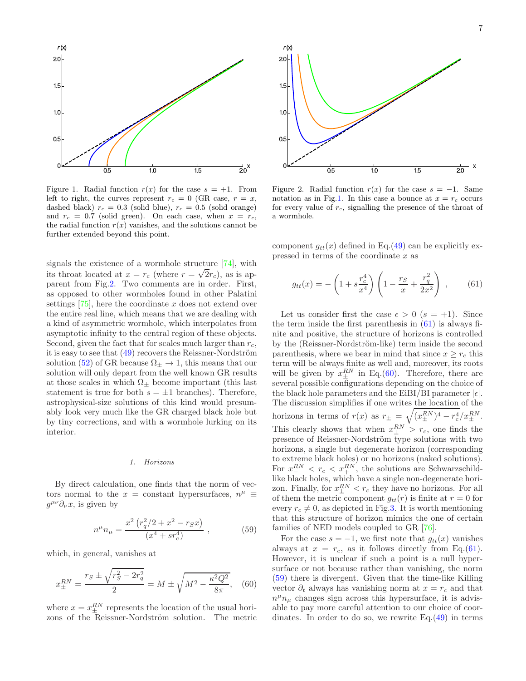

<span id="page-6-0"></span>Figure 1. Radial function  $r(x)$  for the case  $s = +1$ . From left to right, the curves represent  $r_c = 0$  (GR case,  $r = x$ , dashed black)  $r_c = 0.3$  (solid blue),  $r_c = 0.5$  (solid orange) and  $r_c = 0.7$  (solid green). On each case, when  $x = r_c$ , the radial function  $r(x)$  vanishes, and the solutions cannot be further extended beyond this point.

signals the existence of a wormhole structure [\[74](#page-16-6)], with its throat located at  $x = r_c$  (where  $r = \sqrt{2}r_c$ ), as is apparent from Fig[.2.](#page-6-1) Two comments are in order. First, as opposed to other wormholes found in other Palatini settings  $[75]$ , here the coordinate x does not extend over the entire real line, which means that we are dealing with a kind of asymmetric wormhole, which interpolates from asymptotic infinity to the central region of these objects. Second, given the fact that for scales much larger than  $r_c$ , it is easy to see that  $(49)$  recovers the Reissner-Nordström solution [\(52\)](#page-5-5) of GR because  $\Omega_{\pm} \to 1$ , this means that our solution will only depart from the well known GR results at those scales in which  $\Omega_{\pm}$  become important (this last statement is true for both  $s = \pm 1$  branches). Therefore, astrophysical-size solutions of this kind would presumably look very much like the GR charged black hole but by tiny corrections, and with a wormhole lurking on its interior.

#### 1. Horizons

By direct calculation, one finds that the norm of vectors normal to the  $x =$  constant hypersurfaces,  $n^{\mu} \equiv$  $g^{\mu\nu}\partial_{\nu}x$ , is given by

<span id="page-6-4"></span>
$$
n^{\mu}n_{\mu} = \frac{x^2 (r_q^2/2 + x^2 - r_S x)}{(x^4 + sr_c^4)} , \qquad (59)
$$

which, in general, vanishes at

<span id="page-6-3"></span>
$$
x_{\pm}^{RN} = \frac{r_S \pm \sqrt{r_S^2 - 2r_q^2}}{2} = M \pm \sqrt{M^2 - \frac{\kappa^2 Q^2}{8\pi}}, \quad (60)
$$

where  $x = x_{\pm}^{RN}$  represents the location of the usual horizons of the Reissner-Nordström solution. The metric



<span id="page-6-1"></span>Figure 2. Radial function  $r(x)$  for the case  $s = -1$ . Same notation as in Fig[.1.](#page-6-0) In this case a bounce at  $x = r_c$  occurs for every value of  $r_c$ , signalling the presence of the throat of a wormhole.

component  $g_{tt}(x)$  defined in Eq.[\(49\)](#page-5-4) can be explicitly expressed in terms of the coordinate  $x$  as

<span id="page-6-2"></span>
$$
g_{tt}(x) = -\left(1 + s\frac{r_c^4}{x^4}\right)\left(1 - \frac{r_S}{x} + \frac{r_q^2}{2x^2}\right) ,\qquad(61)
$$

Let us consider first the case  $\epsilon > 0$   $(s = +1)$ . Since the term inside the first parenthesis in  $(61)$  is always finite and positive, the structure of horizons is controlled by the (Reissner-Nordström-like) term inside the second parenthesis, where we bear in mind that since  $x \geq r_c$  this term will be always finite as well and, moreover, its roots will be given by  $x_{\pm}^{RN}$  in Eq.[\(60\)](#page-6-3). Therefore, there are several possible configurations depending on the choice of the black hole parameters and the EiBI/BI parameter  $|\epsilon|$ . The discussion simplifies if one writes the location of the horizons in terms of  $r(x)$  as  $r_{\pm} = \sqrt{(x_{\pm}^{RN})^4 - r_c^4}/x_{\pm}^{RN}}$ . This clearly shows that when  $x_{\pm}^{RN} > r_c$ , one finds the presence of Reissner-Nordström type solutions with two horizons, a single but degenerate horizon (corresponding to extreme black holes) or no horizons (naked solutions). For  $x_{-}^{RN} < r_c < x_{+}^{RN}$ , the solutions are Schwarzschildlike black holes, which have a single non-degenerate horizon. Finally, for  $x_{\pm}^{RN} < r_c$  they have no horizons. For all of them the metric component  $g_{tt}(r)$  is finite at  $r = 0$  for every  $r_c \neq 0$ , as depicted in Fig[.3.](#page-7-0) It is worth mentioning that this structure of horizon mimics the one of certain families of NED models coupled to GR [\[76](#page-16-8)].

For the case  $s = -1$ , we first note that  $g_{tt}(x)$  vanishes always at  $x = r_c$ , as it follows directly from Eq.[\(61\)](#page-6-2). However, it is unclear if such a point is a null hypersurface or not because rather than vanishing, the norm [\(59\)](#page-6-4) there is divergent. Given that the time-like Killing vector  $\partial_t$  always has vanishing norm at  $x = r_c$  and that  $n^{\mu}n_{\mu}$  changes sign across this hypersurface, it is advisable to pay more careful attention to our choice of coordinates. In order to do so, we rewrite  $Eq.(49)$  $Eq.(49)$  in terms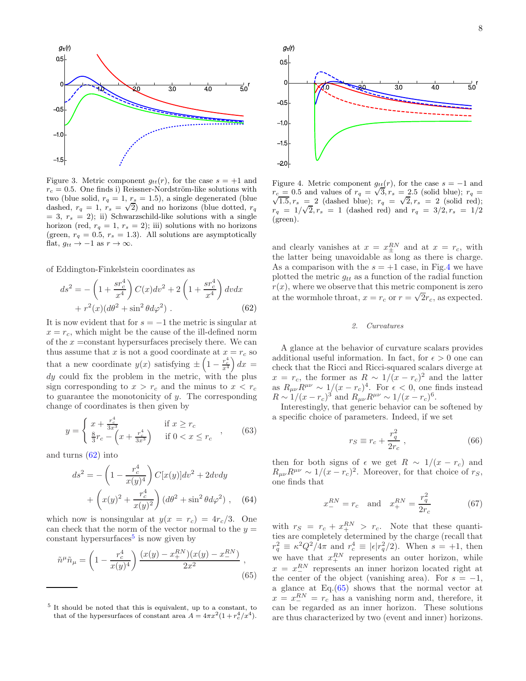

<span id="page-7-0"></span>Figure 3. Metric component  $g_{tt}(r)$ , for the case  $s = +1$  and  $r_c = 0.5$ . One finds i) Reissner-Nordström-like solutions with two (blue solid,  $r_q = 1, r_s = 1.5$ ), a single degenerated (blue dashed,  $r_q = 1$ ,  $r_s = \sqrt{2}$ ) and no horizons (blue dotted,  $r_q$  $= 3, r_s = 2$ ; ii) Schwarzschild-like solutions with a single horizon (red,  $r_q = 1$ ,  $r_s = 2$ ); iii) solutions with no horizons (green,  $r_q = 0.5$ ,  $r_s = 1.3$ ). All solutions are asymptotically flat,  $q_{tt} \rightarrow -1$  as  $r \rightarrow \infty$ .

of Eddington-Finkelstein coordinates as

<span id="page-7-1"></span>
$$
ds^{2} = -\left(1 + \frac{sr_{c}^{4}}{x^{4}}\right)C(x)dv^{2} + 2\left(1 + \frac{sr_{c}^{4}}{x^{4}}\right)dvdx + r^{2}(x)(d\theta^{2} + \sin^{2}\theta d\varphi^{2}).
$$
 (62)

It is now evident that for  $s = -1$  the metric is singular at  $x = r_c$ , which might be the cause of the ill-defined norm of the  $x = constant$  hypersurfaces precisely there. We can thus assume that x is not a good coordinate at  $x = r_c$  so that a new coordinate  $y(x)$  satisfying  $\pm \left(1 - \frac{r_c^4}{x^4}\right) dx =$  $dy$  could fix the problem in the metric, with the plus sign corresponding to  $x > r_c$  and the minus to  $x < r_c$ to guarantee the monotonicity of  $y$ . The corresponding change of coordinates is then given by

$$
y = \begin{cases} x + \frac{r_c^4}{3x^3} & \text{if } x \ge r_c \\ \frac{8}{3}r_c - \left(x + \frac{r_c^4}{3x^3}\right) & \text{if } 0 < x \le r_c \end{cases}
$$
 (63)

and turns [\(62\)](#page-7-1) into

$$
ds^{2} = -\left(1 - \frac{r_{c}^{4}}{x(y)^{4}}\right)C[x(y)]dv^{2} + 2dvdy + \left(x(y)^{2} + \frac{r_{c}^{4}}{x(y)^{2}}\right)(d\theta^{2} + \sin^{2}\theta d\varphi^{2}), \quad (64)
$$

which now is nonsingular at  $y(x = r_c) = 4r_c/3$ . One can check that the norm of the vector normal to the  $y =$ constant hypersurfaces<sup>[5](#page-7-2)</sup> is now given by

<span id="page-7-4"></span>
$$
\tilde{n}^{\mu}\tilde{n}_{\mu} = \left(1 - \frac{r_c^4}{x(y)^4}\right) \frac{(x(y) - x_+^{RN})(x(y) - x_-^{RN})}{2x^2},
$$
\n(65)



<span id="page-7-3"></span>Figure 4. Metric component  $g_{tt}(r)$ , for the case  $s = -1$  and r gare 1. Moore component  $g_{tt}(r)$ , for the case  $\sigma$  1 and  $r_c = 0.5$  and values of  $r_q = \sqrt{3}$ ,  $r_s = 2.5$  (solid blue);  $r_q =$  $\sqrt{1.5}, r_s = 2$  (dashed blue);  $r_q = \sqrt{2}, r_s = 2$  (solid red);  $r_q = 1/\sqrt{2}, r_s = 1$  (dashed red) and  $r_q = 3/2, r_s = 1/2$ (green).

and clearly vanishes at  $x = x_{\pm}^{RN}$  and at  $x = r_c$ , with the latter being unavoidable as long as there is charge. As a comparison with the  $s = +1$  case, in Fig[.4](#page-7-3) we have plotted the metric  $g_{tt}$  as a function of the radial function  $r(x)$ , where we observe that this metric component is zero at the wormhole throat,  $x = r_c$  or  $r = \sqrt{2}r_c$ , as expected.

#### <span id="page-7-6"></span>2. Curvatures

A glance at the behavior of curvature scalars provides additional useful information. In fact, for  $\epsilon > 0$  one can check that the Ricci and Ricci-squared scalars diverge at  $x = r_c$ , the former as  $R \sim 1/(x - r_c)^2$  and the latter as  $R_{\mu\nu}R^{\mu\nu} \sim 1/(x-r_c)^4$ . For  $\epsilon < 0$ , one finds instead  $R \sim 1/(x - r_c)^3$  and  $R_{\mu\nu}R^{\mu\nu} \sim 1/(x - r_c)^6$ .

Interestingly, that generic behavior can be softened by a specific choice of parameters. Indeed, if we set

<span id="page-7-5"></span>
$$
r_S \equiv r_c + \frac{r_q^2}{2r_c} \,,\tag{66}
$$

then for both signs of  $\epsilon$  we get  $R \sim 1/(x - r_c)$  and  $R_{\mu\nu}R^{\mu\nu} \sim 1/(x-r_c)^2$ . Moreover, for that choice of rs, one finds that

$$
x_{-}^{RN} = r_c \text{ and } x_{+}^{RN} = \frac{r_q^2}{2r_c}
$$
 (67)

with  $r_S = r_c + x_+^{RN} > r_c$ . Note that these quantities are completely determined by the charge (recall that  $r_q^2 \equiv \kappa^2 Q^2 / 4\pi$  and  $r_c^4 \equiv |\epsilon| r_q^2 / 2$ . When  $s = +1$ , then we have that  $x_+^{RN}$  represents an outer horizon, while  $x = x_-^{RN}$  represents an inner horizon located right at the center of the object (vanishing area). For  $s = -1$ , a glance at Eq.[\(65\)](#page-7-4) shows that the normal vector at  $x = x_-^{RN} = r_c$  has a vanishing norm and, therefore, it can be regarded as an inner horizon. These solutions are thus characterized by two (event and inner) horizons.

<span id="page-7-2"></span><sup>5</sup> It should be noted that this is equivalent, up to a constant, to that of the hypersurfaces of constant area  $A = 4\pi x^2(1 + r_c^4/x^4)$ .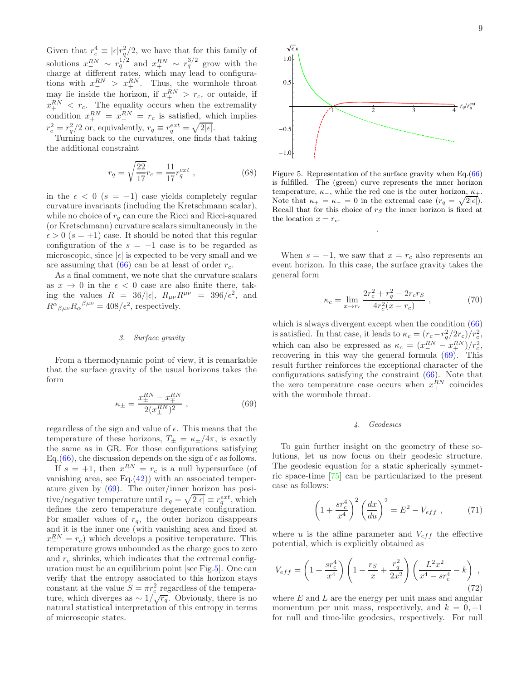Given that  $r_c^4 \equiv |\epsilon| r_q^2/2$ , we have that for this family of solutions  $x_{\text{I}}^{RN} \sim r_q^{1/2}$  and  $x_{\text{I}}^{RN} \sim r_q^{3/2}$  grow with the charge at different rates, which may lead to configurations with  $x_{-}^{RN} > x_{+}^{RN}$ . Thus, the wormhole throat may lie inside the horizon, if  $x_{+}^{RN} > r_c$ , or outside, if  $x_{+}^{RN} < r_c$ . The equality occurs when the extremality condition  $x_{+}^{RN} = x_{-}^{RN} = r_c$  is satisfied, which implies  $r_c^2 = r_q^2/2$  or, equivalently,  $r_q \equiv r_q^{ext} = \sqrt{2|\epsilon|}$ .

Turning back to the curvatures, one finds that taking the additional constraint

<span id="page-8-2"></span>
$$
r_q = \sqrt{\frac{22}{17}} r_c = \frac{11}{17} r_q^{ext} , \qquad (68)
$$

in the  $\epsilon < 0$  (s = -1) case yields completely regular curvature invariants (including the Kretschmann scalar), while no choice of  $r_q$  can cure the Ricci and Ricci-squared (or Kretschmann) curvature scalars simultaneously in the  $\epsilon > 0$  ( $s = +1$ ) case. It should be noted that this regular configuration of the  $s = -1$  case is to be regarded as microscopic, since  $|\epsilon|$  is expected to be very small and we are assuming that  $(66)$  can be at least of order  $r_c$ .

As a final comment, we note that the curvature scalars as  $x \to 0$  in the  $\epsilon < 0$  case are also finite there, taking the values  $R = 36/|\epsilon|$ ,  $R_{\mu\nu}R^{\mu\nu} = 396/\epsilon^2$ , and  $R^{\alpha}{}_{\beta\mu\nu}R_{\alpha}{}^{\beta\mu\nu} = 408/\epsilon^2$ , respectively.

#### 3. Surface gravity

From a thermodynamic point of view, it is remarkable that the surface gravity of the usual horizons takes the form

<span id="page-8-0"></span>
$$
\kappa_{\pm} = \frac{x_{\pm}^{RN} - x_{\mp}^{RN}}{2(x_{\pm}^{RN})^2} \;, \tag{69}
$$

regardless of the sign and value of  $\epsilon$ . This means that the temperature of these horizons,  $T_{\pm} = \kappa_{\pm}/4\pi$ , is exactly the same as in GR. For those configurations satisfying Eq.[\(66\)](#page-7-5), the discussion depends on the sign of  $\epsilon$  as follows.

If  $s = +1$ , then  $x_{-}^{RN} = r_c$  is a null hypersurface (of vanishing area, see  $Eq.(42)$  $Eq.(42)$ ) with an associated temperature given by [\(69\)](#page-8-0). The outer/inner horizon has positive/negative temperature until  $r_q = \sqrt{2|\epsilon|} \equiv r_q^{ext}$ , which defines the zero temperature degenerate configuration. For smaller values of  $r_q$ , the outer horizon disappears and it is the inner one (with vanishing area and fixed at  $x_{-}^{RN} = r_c$ ) which develops a positive temperature. This temperature grows unbounded as the charge goes to zero and  $r_c$  shrinks, which indicates that the extremal configuration must be an equilibrium point [see Fig[.5\]](#page-8-1). One can verify that the entropy associated to this horizon stays constant at the value  $S = \pi r_c^2$  regardless of the temperature, which diverges as  $\sim 1/\sqrt{r_q}$ . Obviously, there is no natural statistical interpretation of this entropy in terms of microscopic states.



<span id="page-8-1"></span>Figure 5. Representation of the surface gravity when Eq.[\(66\)](#page-7-5) is fulfilled. The (green) curve represents the inner horizon temperature,  $\kappa$ <sub>−</sub>, while the red one is the outer horizon,  $\kappa$ <sub>+</sub>. Note that  $\kappa_+ = \kappa_- = 0$  in the extremal case  $(r_q = \sqrt{2|\epsilon|}).$ Recall that for this choice of  $r<sub>S</sub>$  the inner horizon is fixed at the location  $x = r_c$ .

.

When  $s = -1$ , we saw that  $x = r_c$  also represents an event horizon. In this case, the surface gravity takes the general form

$$
\kappa_c = \lim_{x \to r_c} \frac{2r_c^2 + r_q^2 - 2r_c r_S}{4r_c^2(x - r_c)}, \qquad (70)
$$

which is always divergent except when the condition  $(66)$ is satisfied. In that case, it leads to  $\kappa_c = (r_c - r_q^2/2r_c)/r_c^2$ , c which can also be expressed as  $\kappa_c = (x_{-}^{RN} - x_{+}^{RN})/r_c^2$ , recovering in this way the general formula [\(69\)](#page-8-0). This result further reinforces the exceptional character of the configurations satisfying the constraint [\(66\)](#page-7-5). Note that the zero temperature case occurs when  $x_+^{RN}$  coincides with the wormhole throat.

## 4. Geodesics

To gain further insight on the geometry of these solutions, let us now focus on their geodesic structure. The geodesic equation for a static spherically symmetric space-time [\[75](#page-16-7)] can be particularized to the present case as follows:

$$
\left(1 + \frac{sr_c^4}{x^4}\right)^2 \left(\frac{dx}{du}\right)^2 = E^2 - V_{eff} , \qquad (71)
$$

where u is the affine parameter and  $V_{eff}$  the effective potential, which is explicitly obtained as

$$
V_{eff} = \left(1 + \frac{sr_c^4}{x^4}\right) \left(1 - \frac{r_S}{x} + \frac{r_q^2}{2x^2}\right) \left(\frac{L^2 x^2}{x^4 - sr_c^4} - k\right) ,\tag{72}
$$

where  $E$  and  $L$  are the energy per unit mass and angular momentum per unit mass, respectively, and  $k = 0, -1$ for null and time-like geodesics, respectively. For null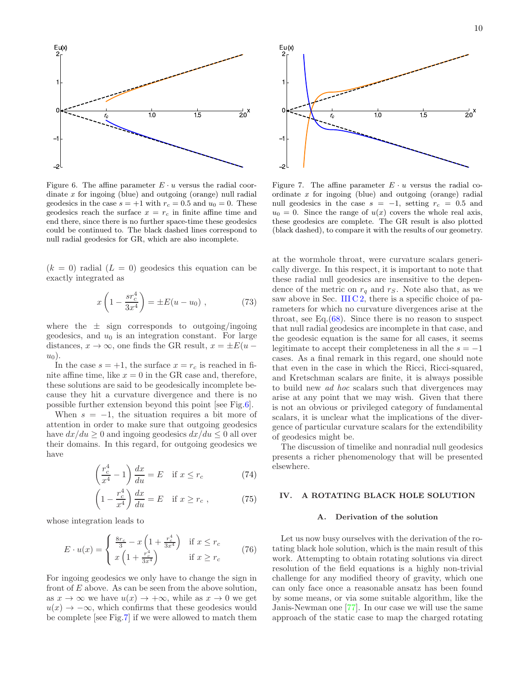

<span id="page-9-1"></span>Figure 6. The affine parameter  $E \cdot u$  versus the radial coordinate  $x$  for ingoing (blue) and outgoing (orange) null radial geodesics in the case  $s = +1$  with  $r_c = 0.5$  and  $u_0 = 0$ . These geodesics reach the surface  $x = r_c$  in finite affine time and end there, since there is no further space-time these geodesics could be continued to. The black dashed lines correspond to null radial geodesics for GR, which are also incomplete.

 $(k = 0)$  radial  $(L = 0)$  geodesics this equation can be exactly integrated as

$$
x\left(1 - \frac{sr_c^4}{3x^4}\right) = \pm E(u - u_0) , \qquad (73)
$$

where the  $\pm$  sign corresponds to outgoing/ingoing geodesics, and  $u_0$  is an integration constant. For large distances,  $x \to \infty$ , one finds the GR result,  $x = \pm E(u$  $u_0$ ).

In the case  $s = +1$ , the surface  $x = r_c$  is reached in finite affine time, like  $x = 0$  in the GR case and, therefore, these solutions are said to be geodesically incomplete because they hit a curvature divergence and there is no possible further extension beyond this point [see Fig[.6\]](#page-9-1).

When  $s = -1$ , the situation requires a bit more of attention in order to make sure that outgoing geodesics have  $dx/du \geq 0$  and ingoing geodesics  $dx/du \leq 0$  all over their domains. In this regard, for outgoing geodesics we have

$$
\left(\frac{r_c^4}{x^4} - 1\right)\frac{dx}{du} = E \quad \text{if } x \le r_c \tag{74}
$$

$$
\left(1 - \frac{r_c^4}{x^4}\right) \frac{dx}{du} = E \quad \text{if } x \ge r_c , \tag{75}
$$

whose integration leads to

$$
E \cdot u(x) = \begin{cases} \frac{8r_c}{3} - x \left(1 + \frac{r_c^4}{3x^4}\right) & \text{if } x \le r_c \\ x \left(1 + \frac{r_c^4}{3x^4}\right) & \text{if } x \ge r_c \end{cases}
$$
 (76)

For ingoing geodesics we only have to change the sign in front of  $E$  above. As can be seen from the above solution, as  $x \to \infty$  we have  $u(x) \to +\infty$ , while as  $x \to 0$  we get  $u(x) \rightarrow -\infty$ , which confirms that these geodesics would be complete [see Fig[.7\]](#page-9-2) if we were allowed to match them



<span id="page-9-2"></span>Figure 7. The affine parameter  $E \cdot u$  versus the radial coordinate x for ingoing (blue) and outgoing (orange) radial null geodesics in the case  $s = -1$ , setting  $r_c = 0.5$  and  $u_0 = 0$ . Since the range of  $u(x)$  covers the whole real axis, these geodesics are complete. The GR result is also plotted (black dashed), to compare it with the results of our geometry.

at the wormhole throat, were curvature scalars generically diverge. In this respect, it is important to note that these radial null geodesics are insensitive to the dependence of the metric on  $r_q$  and  $r_S$ . Note also that, as we saw above in Sec. III  $C_2$ , there is a specific choice of parameters for which no curvature divergences arise at the throat, see Eq. $(68)$ . Since there is no reason to suspect that null radial geodesics are incomplete in that case, and the geodesic equation is the same for all cases, it seems legitimate to accept their completeness in all the  $s = -1$ cases. As a final remark in this regard, one should note that even in the case in which the Ricci, Ricci-squared, and Kretschman scalars are finite, it is always possible to build new ad hoc scalars such that divergences may arise at any point that we may wish. Given that there is not an obvious or privileged category of fundamental scalars, it is unclear what the implications of the divergence of particular curvature scalars for the extendibility of geodesics might be.

The discussion of timelike and nonradial null geodesics presents a richer phenomenology that will be presented elsewhere.

## <span id="page-9-0"></span>IV. A ROTATING BLACK HOLE SOLUTION

#### A. Derivation of the solution

Let us now busy ourselves with the derivation of the rotating black hole solution, which is the main result of this work. Attempting to obtain rotating solutions via direct resolution of the field equations is a highly non-trivial challenge for any modified theory of gravity, which one can only face once a reasonable ansatz has been found by some means, or via some suitable algorithm, like the Janis-Newman one [\[77](#page-16-9)]. In our case we will use the same approach of the static case to map the charged rotating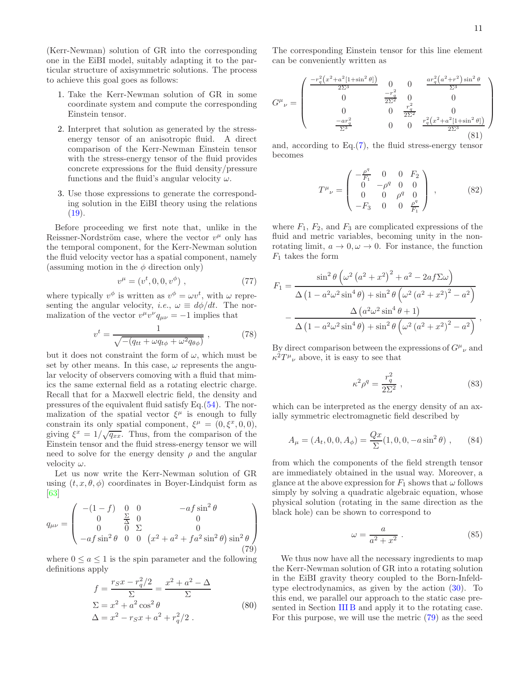(Kerr-Newman) solution of GR into the corresponding one in the EiBI model, suitably adapting it to the particular structure of axisymmetric solutions. The process to achieve this goal goes as follows:

- 1. Take the Kerr-Newman solution of GR in some coordinate system and compute the corresponding Einstein tensor.
- 2. Interpret that solution as generated by the stressenergy tensor of an anisotropic fluid. A direct comparison of the Kerr-Newman Einstein tensor with the stress-energy tensor of the fluid provides concrete expressions for the fluid density/pressure functions and the fluid's angular velocity  $\omega$ .
- 3. Use those expressions to generate the corresponding solution in the EiBI theory using the relations  $(19).$  $(19).$

Before proceeding we first note that, unlike in the Reissner-Nordström case, where the vector  $v^{\mu}$  only has the temporal component, for the Kerr-Newman solution the fluid velocity vector has a spatial component, namely (assuming motion in the  $\phi$  direction only)

$$
v^{\mu} = (v^t, 0, 0, v^{\phi}), \qquad (77)
$$

where typically  $v^{\phi}$  is written as  $v^{\phi} = \omega v^{t}$ , with  $\omega$  representing the angular velocity, *i.e.*,  $\omega \equiv d\phi/dt$ . The normalization of the vector  $v^{\mu}v^{\nu}q_{\mu\nu} = -1$  implies that

$$
v^t = \frac{1}{\sqrt{-(q_{tt} + \omega q_{t\phi} + \omega^2 q_{\theta\phi})}} \,, \tag{78}
$$

but it does not constraint the form of  $\omega$ , which must be set by other means. In this case,  $\omega$  represents the angular velocity of observers comoving with a fluid that mimics the same external field as a rotating electric charge. Recall that for a Maxwell electric field, the density and pressures of the equivalent fluid satisfy Eq.[\(54\)](#page-5-3). The normalization of the spatial vector  $\xi^{\mu}$  is enough to fully constrain its only spatial component,  $\xi^{\mu} = (0, \xi^{x}, 0, 0),$ giving  $\xi^x = 1/\sqrt{q_{xx}}$ . Thus, from the comparison of the Einstein tensor and the fluid stress-energy tensor we will need to solve for the energy density  $\rho$  and the angular velocity  $\omega$ .

Let us now write the Kerr-Newman solution of GR using  $(t, x, \theta, \phi)$  coordinates in Boyer-Lindquist form as [\[63\]](#page-15-35)

<span id="page-10-0"></span>
$$
q_{\mu\nu} = \begin{pmatrix} -(1-f) & 0 & 0 & -af \sin^2 \theta \\ 0 & \frac{\Sigma}{\Delta} & 0 & 0 \\ 0 & 0 & \Sigma & 0 \\ -af \sin^2 \theta & 0 & 0 & (x^2 + a^2 + fa^2 \sin^2 \theta) \sin^2 \theta \end{pmatrix}
$$
(79)

where  $0 \leq a \leq 1$  is the spin parameter and the following definitions apply

<span id="page-10-1"></span>
$$
f = \frac{r_S x - r_q^2/2}{\Sigma} = \frac{x^2 + a^2 - \Delta}{\Sigma}
$$
  
\n
$$
\Sigma = x^2 + a^2 \cos^2 \theta
$$
  
\n
$$
\Delta = x^2 - r_S x + a^2 + r_q^2/2.
$$
 (80)

The corresponding Einstein tensor for this line element can be conveniently written as

$$
G^{\mu}{}_{\nu} = \begin{pmatrix} \frac{-r_q^2 (x^2 + a^2 [1 + \sin^2 \theta])}{2\Sigma^3} & 0 & \frac{ar_q^2 (a^2 + r^2) \sin^2 \theta}{\Sigma^3} \\ 0 & \frac{-r_q^2}{2\Sigma^2} & 0 & 0 \\ 0 & 0 & \frac{r_q^2}{2\Sigma^2} & 0 \\ \frac{-ar_q^2}{\Sigma^3} & 0 & 0 & \frac{r_q^2 (x^2 + a^2 [1 + \sin^2 \theta])}{2\Sigma^3} \end{pmatrix}
$$
(81)

and, according to Eq.[\(7\)](#page-2-7), the fluid stress-energy tensor becomes

$$
T^{\mu}{}_{\nu} = \begin{pmatrix} -\frac{\rho^{q}}{F_{1}} & 0 & 0 & F_{2} \\ 0 & -\rho^{q} & 0 & 0 \\ 0 & 0 & \rho^{q} & 0 \\ -F_{3} & 0 & 0 & \frac{\rho^{q}}{F_{1}} \end{pmatrix} , \qquad (82)
$$

where  $F_1$ ,  $F_2$ , and  $F_3$  are complicated expressions of the fluid and metric variables, becoming unity in the nonrotating limit,  $a \to 0, \omega \to 0$ . For instance, the function  $F_1$  takes the form

$$
F_1 = \frac{\sin^2 \theta \left(\omega^2 (a^2 + x^2)^2 + a^2 - 2af\Sigma\omega\right)}{\Delta \left(1 - a^2 \omega^2 \sin^4 \theta\right) + \sin^2 \theta \left(\omega^2 (a^2 + x^2)^2 - a^2\right)} - \frac{\Delta \left(a^2 \omega^2 \sin^4 \theta + 1\right)}{\Delta \left(1 - a^2 \omega^2 \sin^4 \theta\right) + \sin^2 \theta \left(\omega^2 (a^2 + x^2)^2 - a^2\right)} ,
$$

By direct comparison between the expressions of  $G^{\mu}{}_{\nu}$  and  $\kappa^2 T^{\mu}{}_{\nu}$  above, it is easy to see that

<span id="page-10-2"></span>
$$
\kappa^2 \rho^q = \frac{r_q^2}{2\Sigma^2} \,,\tag{83}
$$

which can be interpreted as the energy density of an axially symmetric electromagnetic field described by

$$
A_{\mu} = (A_t, 0, 0, A_{\phi}) = \frac{Qx}{\Sigma} (1, 0, 0, -a \sin^2 \theta) , \qquad (84)
$$

from which the components of the field strength tensor are immediately obtained in the usual way. Moreover, a glance at the above expression for  $F_1$  shows that  $\omega$  follows simply by solving a quadratic algebraic equation, whose physical solution (rotating in the same direction as the black hole) can be shown to correspond to

$$
\omega = \frac{a}{a^2 + x^2} \ . \tag{85}
$$

We thus now have all the necessary ingredients to map the Kerr-Newman solution of GR into a rotating solution in the EiBI gravity theory coupled to the Born-Infeldtype electrodynamics, as given by the action  $(30)$ . To this end, we parallel our approach to the static case pre-sented in Section [III B](#page-5-6) and apply it to the rotating case. For this purpose, we will use the metric [\(79\)](#page-10-0) as the seed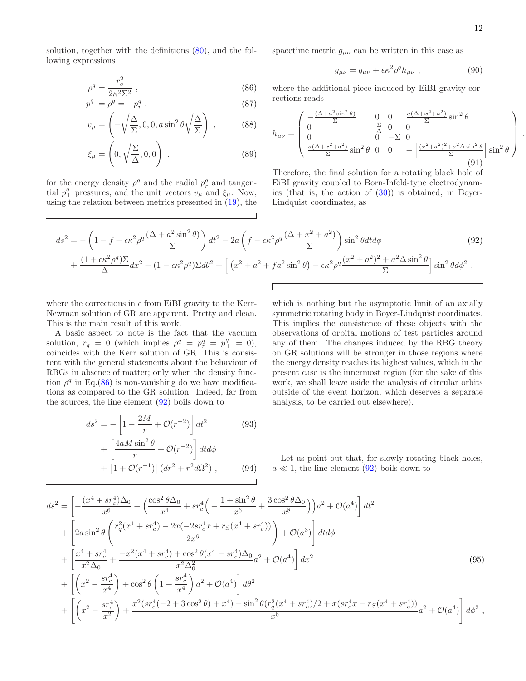.

solution, together with the definitions [\(80\)](#page-10-1), and the following expressions

<span id="page-11-0"></span>
$$
\rho^q = \frac{r_q^2}{2\kappa^2 \Sigma^2} \;, \tag{86}
$$

$$
p_{\perp}^{q} = \rho_{\perp}^{q} = -p_{r}^{q} \,, \tag{87}
$$

$$
v_{\mu} = \left(-\sqrt{\frac{\Delta}{\Sigma}}, 0, 0, a\sin^2\theta\sqrt{\frac{\Delta}{\Sigma}}\right) ,\qquad (88)
$$

$$
\xi_{\mu} = \left(0, \sqrt{\frac{\Sigma}{\Delta}}, 0, 0\right) ,\qquad(89)
$$

for the energy density  $\rho^q$  and the radial  $p_r^q$  and tangential  $p_{\perp}^q$  pressures, and the unit vectors  $v_{\mu}$  and  $\xi_{\mu}$ . Now, using the relation between metrics presented in [\(19\)](#page-3-6), the spacetime metric  $g_{\mu\nu}$  can be written in this case as

$$
g_{\mu\nu} = q_{\mu\nu} + \epsilon \kappa^2 \rho^q h_{\mu\nu} \ , \qquad (90)
$$

where the additional piece induced by EiBI gravity corrections reads

$$
h_{\mu\nu} = \begin{pmatrix} -\frac{(\Delta + a^2 \sin^2 \theta)}{\Sigma} & 0 & 0 & \frac{a(\Delta + x^2 + a^2)}{\Sigma} \sin^2 \theta \\ 0 & \frac{\Sigma}{\Delta} & 0 & 0 \\ 0 & 0 & -\Sigma & 0 \\ \frac{a(\Delta + x^2 + a^2)}{\Sigma} \sin^2 \theta & 0 & 0 & -\left[ \frac{(x^2 + a^2)^2 + a^2 \Delta \sin^2 \theta}{\Sigma} \right] \sin^2 \theta \end{pmatrix}
$$
(91)

Therefore, the final solution for a rotating black hole of EiBI gravity coupled to Born-Infeld-type electrodynamics (that is, the action of  $(30)$ ) is obtained, in Boyer-Lindquist coordinates, as

<span id="page-11-1"></span>
$$
ds^{2} = -\left(1 - f + \epsilon \kappa^{2} \rho^{q} \frac{(\Delta + a^{2} \sin^{2} \theta)}{\Sigma}\right) dt^{2} - 2a \left(f - \epsilon \kappa^{2} \rho^{q} \frac{(\Delta + x^{2} + a^{2})}{\Sigma}\right) \sin^{2} \theta dt d\phi
$$
\n
$$
+ \frac{(1 + \epsilon \kappa^{2} \rho^{q})\Sigma}{\Delta} dx^{2} + (1 - \epsilon \kappa^{2} \rho^{q})\Sigma d\theta^{2} + \left[ (x^{2} + a^{2} + fa^{2} \sin^{2} \theta) - \epsilon \kappa^{2} \rho^{q} \frac{(x^{2} + a^{2})^{2} + a^{2} \Delta \sin^{2} \theta}{\Sigma}\right] \sin^{2} \theta d\phi^{2} ,
$$
\n(92)

Г

where the corrections in  $\epsilon$  from EiBI gravity to the Kerr-Newman solution of GR are apparent. Pretty and clean. This is the main result of this work.

A basic aspect to note is the fact that the vacuum solution,  $r_q = 0$  (which implies  $\rho^q = p_r^q = p_\perp^q = 0$ ), coincides with the Kerr solution of GR. This is consistent with the general statements about the behaviour of RBGs in absence of matter; only when the density function  $\rho^q$  in Eq.[\(86\)](#page-11-0) is non-vanishing do we have modifications as compared to the GR solution. Indeed, far from the sources, the line element [\(92\)](#page-11-1) boils down to

$$
ds^{2} = -\left[1 - \frac{2M}{r} + \mathcal{O}(r^{-2})\right]dt^{2}
$$
\n
$$
+ \left[\frac{4aM\sin^{2}\theta}{r} + \mathcal{O}(r^{-2})\right]dt d\phi
$$
\n
$$
+ \left[1 + \mathcal{O}(r^{-1})\right](dr^{2} + r^{2}d\Omega^{2}), \qquad (94)
$$

which is nothing but the asymptotic limit of an axially symmetric rotating body in Boyer-Lindquist coordinates. This implies the consistence of these objects with the observations of orbital motions of test particles around any of them. The changes induced by the RBG theory on GR solutions will be stronger in those regions where the energy density reaches its highest values, which in the present case is the innermost region (for the sake of this work, we shall leave aside the analysis of circular orbits outside of the event horizon, which deserves a separate analysis, to be carried out elsewhere).

Let us point out that, for slowly-rotating black holes,  $a \ll 1$ , the line element [\(92\)](#page-11-1) boils down to

<span id="page-11-2"></span>
$$
ds^{2} = \left[ -\frac{(x^{4} + sr_{c}^{4})\Delta_{0}}{x^{6}} + \left(\frac{\cos^{2}\theta\Delta_{0}}{x^{4}} + sr_{c}^{4}\left(-\frac{1+\sin^{2}\theta}{x^{6}} + \frac{3\cos^{2}\theta\Delta_{0}}{x^{8}}\right)\right)a^{2} + \mathcal{O}(a^{4}) \right] dt^{2} + \left[ 2a\sin^{2}\theta \left( \frac{r_{q}^{2}(x^{4} + sr_{c}^{4}) - 2x(-2sr_{c}^{4}x + rs(x^{4} + sr_{c}^{4}))}{2x^{6}} \right) + \mathcal{O}(a^{3}) \right] dt d\phi + \left[ \frac{x^{4} + sr_{c}^{4}}{x^{2}\Delta_{0}} + \frac{-x^{2}(x^{4} + sr_{c}^{4}) + \cos^{2}\theta(x^{4} - sr_{c}^{4})\Delta_{0}}{x^{2}\Delta_{0}^{2}}a^{2} + \mathcal{O}(a^{4}) \right] dx^{2} + \left[ \left( x^{2} - \frac{sr_{c}^{4}}{x^{4}} \right) + \cos^{2}\theta \left(1 + \frac{sr_{c}^{4}}{x^{4}}\right)a^{2} + \mathcal{O}(a^{4}) \right] d\theta^{2} + \left[ \left( x^{2} - \frac{sr_{c}^{4}}{x^{2}} \right) + \frac{x^{2}(sr_{c}^{4}(-2 + 3\cos^{2}\theta) + x^{4}) - \sin^{2}\theta(r_{q}^{2}(x^{4} + sr_{c}^{4})/2 + x(sr_{c}^{4}x - rs(x^{4} + sr_{c}^{4}))}{x^{6}}a^{2} + \mathcal{O}(a^{4}) \right] d\phi^{2} ,
$$
\n(A)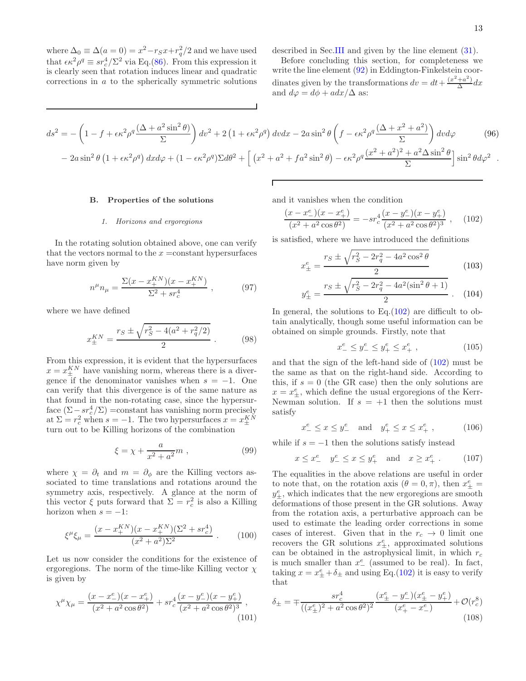where  $\Delta_0 \equiv \Delta(a=0) = x^2 - r_S x + r_q^2/2$  and we have used that  $\epsilon \kappa^2 \rho^q \equiv s r_c^4 / \Sigma^2$  via Eq.[\(86\)](#page-11-0). From this expression it is clearly seen that rotation induces linear and quadratic corrections in a to the spherically symmetric solutions described in Sec[.III](#page-4-0) and given by the line element [\(31\)](#page-4-5).

Before concluding this section, for completeness we write the line element  $(92)$  in Eddington-Finkelstein coordinates given by the transformations  $dv = dt + \frac{(x^2 + a^2)}{\Delta}$  $\frac{+a}{\Delta}dx$ and  $d\varphi = d\phi + a dx/\Delta$  as:

<span id="page-12-2"></span>
$$
ds^{2} = -\left(1 - f + \epsilon \kappa^{2} \rho^{q} \frac{(\Delta + a^{2} \sin^{2} \theta)}{\Sigma}\right) dv^{2} + 2\left(1 + \epsilon \kappa^{2} \rho^{q}\right) dv dx - 2a \sin^{2} \theta \left(f - \epsilon \kappa^{2} \rho^{q} \frac{(\Delta + x^{2} + a^{2})}{\Sigma}\right) dv d\varphi
$$
\n
$$
-2a \sin^{2} \theta \left(1 + \epsilon \kappa^{2} \rho^{q}\right) dx d\varphi + \left(1 - \epsilon \kappa^{2} \rho^{q}\right) \Sigma d\theta^{2} + \left[\left(x^{2} + a^{2} + fa^{2} \sin^{2} \theta\right) - \epsilon \kappa^{2} \rho^{q} \frac{(x^{2} + a^{2})^{2} + a^{2} \Delta \sin^{2} \theta}{\Sigma}\right] \sin^{2} \theta d\varphi^{2}.
$$
\n(96)

Г

## B. Properties of the solutions

## 1. Horizons and ergoregions

In the rotating solution obtained above, one can verify that the vectors normal to the  $x = constant$  hypersurfaces have norm given by

$$
n^{\mu}n_{\mu} = \frac{\Sigma(x - x_{+}^{KN})(x - x_{+}^{KN})}{\Sigma^2 + sr_c^4} , \qquad (97)
$$

where we have defined

$$
x_{\pm}^{KN} = \frac{r_S \pm \sqrt{r_S^2 - 4(a^2 + r_q^2/2)}}{2} \,. \tag{98}
$$

From this expression, it is evident that the hypersurfaces  $x = x_{\pm}^{KN}$  have vanishing norm, whereas there is a divergence if the denominator vanishes when  $s = -1$ . One can verify that this divergence is of the same nature as that found in the non-rotating case, since the hypersurface  $(\Sigma - sr_c^4/\Sigma)$  =constant has vanishing norm precisely at  $\Sigma = r_c^2$  when  $s = -1$ . The two hypersurfaces  $x = x_{\pm}^{KN}$ ± turn out to be Killing horizons of the combination

$$
\xi = \chi + \frac{a}{x^2 + a^2} m \;, \tag{99}
$$

where  $\chi = \partial_t$  and  $m = \partial_\phi$  are the Killing vectors associated to time translations and rotations around the symmetry axis, respectively. A glance at the norm of this vector  $\xi$  puts forward that  $\Sigma = r_c^2$  is also a Killing horizon when  $s = -1$ :

$$
\xi^{\mu}\xi_{\mu} = \frac{(x - x_{+}^{KN})(x - x_{+}^{KN})(\Sigma^{2} + sr_{c}^{4})}{(x^{2} + a^{2})\Sigma^{2}}.
$$
 (100)

Let us now consider the conditions for the existence of ergoregions. The norm of the time-like Killing vector  $\chi$ is given by

<span id="page-12-1"></span>
$$
\chi^{\mu}\chi_{\mu} = \frac{(x - x_{-}^{e})(x - x_{+}^{e})}{(x^{2} + a^{2}\cos\theta^{2})} + sr_{c}^{4}\frac{(x - y_{-}^{e})(x - y_{+}^{e})}{(x^{2} + a^{2}\cos\theta^{2})^{3}},
$$
\n(101)

and it vanishes when the condition

<span id="page-12-0"></span>
$$
\frac{(x - x_{-}^{e})(x - x_{+}^{e})}{(x^{2} + a^{2}\cos\theta^{2})} = -sr_{c}^{4}\frac{(x - y_{-}^{e})(x - y_{+}^{e})}{(x^{2} + a^{2}\cos\theta^{2})^{3}},
$$
 (102)

is satisfied, where we have introduced the definitions

$$
x_{\pm}^{e} = \frac{r_S \pm \sqrt{r_S^2 - 2r_q^2 - 4a^2 \cos^2 \theta}}{2}
$$
 (103)

$$
y_{\pm}^{e} = \frac{r_S \pm \sqrt{r_S^2 - 2r_q^2 - 4a^2(\sin^2 \theta + 1)}}{2}
$$
 (104)

In general, the solutions to  $Eq.(102)$  $Eq.(102)$  are difficult to obtain analytically, though some useful information can be obtained on simple grounds. Firstly, note that

$$
x_-^e \le y_-^e \le y_+^e \le x_+^e \t\t(105)
$$

and that the sign of the left-hand side of [\(102\)](#page-12-0) must be the same as that on the right-hand side. According to this, if  $s = 0$  (the GR case) then the only solutions are  $x = x_{\pm}^{e}$ , which define the usual ergoregions of the Kerr-Newman solution. If  $s = +1$  then the solutions must satisfy

$$
x_-^e \le x \le y_-^e
$$
 and  $y_+^e \le x \le x_+^e$ , (106)

while if  $s = -1$  then the solutions satisfy instead

$$
x \le x_{-}^{e} \quad y_{-}^{e} \le x \le y_{+}^{e} \quad \text{and} \quad x \ge x_{+}^{e} \tag{107}
$$

The equalities in the above relations are useful in order to note that, on the rotation axis  $(\theta = 0, \pi)$ , then  $x_{\pm}^e$  $y^e_{\pm}$ , which indicates that the new ergoregions are smooth deformations of those present in the GR solutions. Away from the rotation axis, a perturbative approach can be used to estimate the leading order corrections in some cases of interest. Given that in the  $r_c \rightarrow 0$  limit one recovers the GR solutions  $x_{\pm}^e$ , approximated solutions can be obtained in the astrophysical limit, in which  $r_c$ is much smaller than  $x_{-}^{e}$  (assumed to be real). In fact, taking  $x = x_{\pm}^e + \delta_{\pm}$  and using Eq.[\(102\)](#page-12-0) it is easy to verify that

$$
\delta_{\pm} = \mp \frac{sr_c^4}{((x_{\pm}^e)^2 + a^2 \cos \theta^2)^2} \frac{(x_{\pm}^e - y_{-}^e)(x_{\pm}^e - y_{+}^e)}{(x_{+}^e - x_{-}^e)} + \mathcal{O}(r_c^8)
$$
\n(108)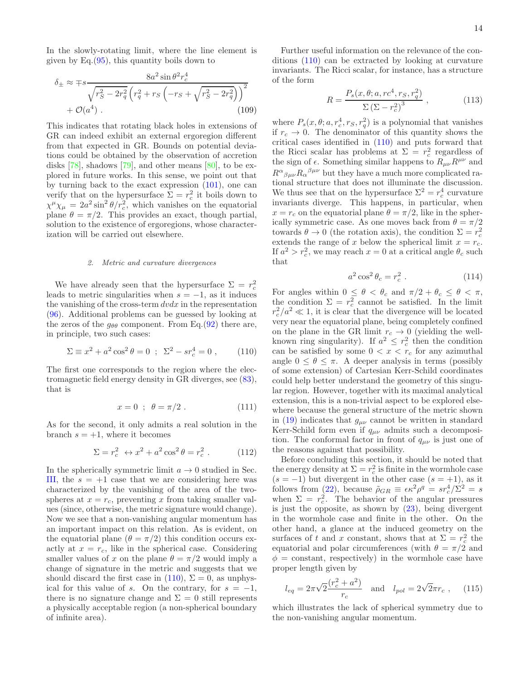In the slowly-rotating limit, where the line element is given by  $Eq.(95)$  $Eq.(95)$ , this quantity boils down to

$$
\delta_{\pm} \approx \mp s \frac{8a^2 \sin \theta^2 r_c^4}{\sqrt{r_S^2 - 2r_q^2} \left( r_q^2 + r_S \left( -r_S + \sqrt{r_S^2 - 2r_q^2} \right) \right)^2} + \mathcal{O}(a^4) \tag{109}
$$

This indicates that rotating black holes in extensions of GR can indeed exhibit an external ergoregion different from that expected in GR. Bounds on potential deviations could be obtained by the observation of accretion disks [\[78\]](#page-16-10), shadows [\[79\]](#page-16-11), and other means [\[80\]](#page-16-12), to be explored in future works. In this sense, we point out that by turning back to the exact expression [\(101\)](#page-12-1), one can verify that on the hypersurface  $\Sigma = r_c^2$  it boils down to  $\chi^{\mu}\chi_{\mu} = 2a^2 \sin^2 \theta/r_c^2$ , which vanishes on the equatorial plane  $\theta = \pi/2$ . This provides an exact, though partial, solution to the existence of ergoregions, whose characterization will be carried out elsewhere.

#### 2. Metric and curvature divergences

We have already seen that the hypersurface  $\Sigma = r_c^2$ leads to metric singularities when  $s = -1$ , as it induces the vanishing of the cross-term  $dvdx$  in the representation [\(96\)](#page-12-2). Additional problems can be guessed by looking at the zeros of the  $g_{\theta\theta}$  component. From Eq.[\(92\)](#page-11-1) there are, in principle, two such cases:

<span id="page-13-0"></span>
$$
\Sigma \equiv x^2 + a^2 \cos^2 \theta = 0 \ ; \ \Sigma^2 - s r_c^4 = 0 \ , \qquad (110)
$$

The first one corresponds to the region where the electromagnetic field energy density in GR diverges, see [\(83\)](#page-10-2), that is

$$
x = 0 \; ; \; \theta = \pi/2 \; . \tag{111}
$$

As for the second, it only admits a real solution in the branch  $s = +1$ , where it becomes

$$
\Sigma = r_c^2 \leftrightarrow x^2 + a^2 \cos^2 \theta = r_c^2 \ . \tag{112}
$$

In the spherically symmetric limit  $a \to 0$  studied in Sec. [III,](#page-4-0) the  $s = +1$  case that we are considering here was characterized by the vanishing of the area of the twospheres at  $x = r_c$ , preventing x from taking smaller values (since, otherwise, the metric signature would change). Now we see that a non-vanishing angular momentum has an important impact on this relation. As is evident, on the equatorial plane  $(\theta = \pi/2)$  this condition occurs exactly at  $x = r_c$ , like in the spherical case. Considering smaller values of x on the plane  $\theta = \pi/2$  would imply a change of signature in the metric and suggests that we should discard the first case in  $(110)$ ,  $\Sigma = 0$ , as unphysical for this value of s. On the contrary, for  $s = -1$ , there is no signature change and  $\Sigma = 0$  still represents a physically acceptable region (a non-spherical boundary of infinite area).

Further useful information on the relevance of the conditions [\(110\)](#page-13-0) can be extracted by looking at curvature invariants. The Ricci scalar, for instance, has a structure of the form

$$
R = \frac{P_s(x, \theta; a, rc^4, r_S, r_q^2)}{\Sigma (\Sigma - r_c^2)^3} , \qquad (113)
$$

where  $P_s(x, \theta; a, r_c^4, r_S, r_q^2)$  is a polynomial that vanishes if  $r_c \to 0$ . The denominator of this quantity shows the critical cases identified in [\(110\)](#page-13-0) and puts forward that the Ricci scalar has problems at  $\Sigma = r_c^2$  regardless of the sign of  $\epsilon$ . Something similar happens to  $R_{\mu\nu}R^{\mu\nu}$  and  $R^{\alpha}{}_{\beta\mu\nu}R_{\alpha}{}^{\beta\mu\nu}$  but they have a much more complicated rational structure that does not illuminate the discussion. We thus see that on the hypersurface  $\Sigma^2 = r_c^4$  curvature invariants diverge. This happens, in particular, when  $x = r_c$  on the equatorial plane  $\theta = \pi/2$ , like in the spherically symmetric case. As one moves back from  $\theta = \pi/2$ towards  $\theta \to 0$  (the rotation axis), the condition  $\Sigma = r_c^2$ extends the range of x below the spherical limit  $x = r_c$ . If  $a^2 > r_c^2$ , we may reach  $x = 0$  at a critical angle  $\theta_c$  such that

$$
a^2 \cos^2 \theta_c = r_c^2 \tag{114}
$$

For angles within  $0 \leq \theta < \theta_c$  and  $\pi/2 + \theta_c \leq \theta < \pi$ , the condition  $\Sigma = r_c^2$  cannot be satisfied. In the limit  $r_c^2/a^2 \ll 1$ , it is clear that the divergence will be located very near the equatorial plane, being completely confined on the plane in the GR limit  $r_c \rightarrow 0$  (yielding the wellknown ring singularity). If  $a^2 \leq r_c^2$  then the condition can be satisfied by some  $0 < x < r_c$  for any azimuthal angle  $0 \leq \theta \leq \pi$ . A deeper analysis in terms (possibly of some extension) of Cartesian Kerr-Schild coordinates could help better understand the geometry of this singular region. However, together with its maximal analytical extension, this is a non-trivial aspect to be explored elsewhere because the general structure of the metric shown in [\(19\)](#page-3-6) indicates that  $g_{\mu\nu}$  cannot be written in standard Kerr-Schild form even if  $q_{\mu\nu}$  admits such a decomposition. The conformal factor in front of  $q_{\mu\nu}$  is just one of the reasons against that possibility.

Before concluding this section, it should be noted that the energy density at  $\Sigma = r_c^2$  is finite in the wormhole case  $(s = -1)$  but divergent in the other case  $(s = +1)$ , as it follows from [\(22\)](#page-3-1), because  $\tilde{\rho}_{GR} \equiv \epsilon \kappa^2 \rho^q = s r_c^4 / \Sigma^2 = s$ when  $\Sigma = r_c^2$ . The behavior of the angular pressures is just the opposite, as shown by  $(23)$ , being divergent in the wormhole case and finite in the other. On the other hand, a glance at the induced geometry on the surfaces of t and x constant, shows that at  $\Sigma = r_c^2$  the equatorial and polar circumferences (with  $\theta = \pi/2$  and  $\phi =$  constant, respectively) in the wormhole case have proper length given by

$$
l_{eq} = 2\pi\sqrt{2}\frac{(r_c^2 + a^2)}{r_c}
$$
 and  $l_{pol} = 2\sqrt{2}\pi r_c$ , (115)

which illustrates the lack of spherical symmetry due to the non-vanishing angular momentum.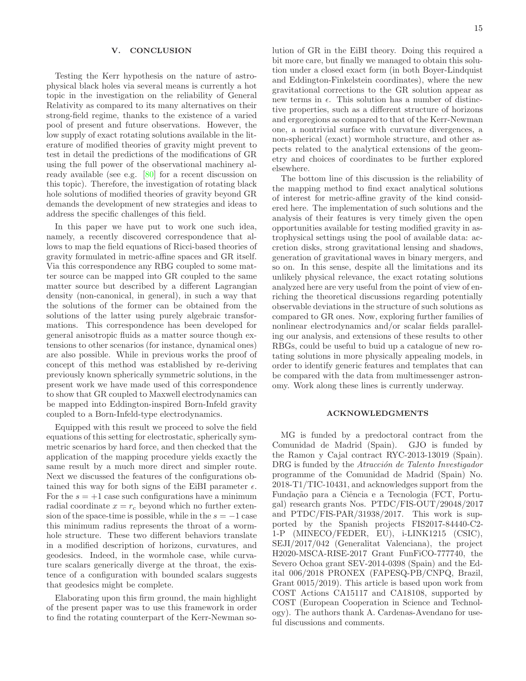## <span id="page-14-0"></span>V. CONCLUSION

Testing the Kerr hypothesis on the nature of astrophysical black holes via several means is currently a hot topic in the investigation on the reliability of General Relativity as compared to its many alternatives on their strong-field regime, thanks to the existence of a varied pool of present and future observations. However, the low supply of exact rotating solutions available in the literature of modified theories of gravity might prevent to test in detail the predictions of the modifications of GR using the full power of the observational machinery already available (see e.g. [\[80\]](#page-16-12) for a recent discussion on this topic). Therefore, the investigation of rotating black hole solutions of modified theories of gravity beyond GR demands the development of new strategies and ideas to address the specific challenges of this field.

In this paper we have put to work one such idea, namely, a recently discovered correspondence that allows to map the field equations of Ricci-based theories of gravity formulated in metric-affine spaces and GR itself. Via this correspondence any RBG coupled to some matter source can be mapped into GR coupled to the same matter source but described by a different Lagrangian density (non-canonical, in general), in such a way that the solutions of the former can be obtained from the solutions of the latter using purely algebraic transformations. This correspondence has been developed for general anisotropic fluids as a matter source though extensions to other scenarios (for instance, dynamical ones) are also possible. While in previous works the proof of concept of this method was established by re-deriving previously known spherically symmetric solutions, in the present work we have made used of this correspondence to show that GR coupled to Maxwell electrodynamics can be mapped into Eddington-inspired Born-Infeld gravity coupled to a Born-Infeld-type electrodynamics.

Equipped with this result we proceed to solve the field equations of this setting for electrostatic, spherically symmetric scenarios by hard force, and then checked that the application of the mapping procedure yields exactly the same result by a much more direct and simpler route. Next we discussed the features of the configurations obtained this way for both signs of the EiBI parameter  $\epsilon$ . For the  $s = +1$  case such configurations have a minimum radial coordinate  $x = r_c$  beyond which no further extension of the space-time is possible, while in the  $s = -1$  case this minimum radius represents the throat of a wormhole structure. These two different behaviors translate in a modified description of horizons, curvatures, and geodesics. Indeed, in the wormhole case, while curvature scalars generically diverge at the throat, the existence of a configuration with bounded scalars suggests that geodesics might be complete.

Elaborating upon this firm ground, the main highlight of the present paper was to use this framework in order to find the rotating counterpart of the Kerr-Newman solution of GR in the EiBI theory. Doing this required a bit more care, but finally we managed to obtain this solution under a closed exact form (in both Boyer-Lindquist and Eddington-Finkelstein coordinates), where the new gravitational corrections to the GR solution appear as new terms in  $\epsilon$ . This solution has a number of distinctive properties, such as a different structure of horizons and ergoregions as compared to that of the Kerr-Newman one, a nontrivial surface with curvature divergences, a non-spherical (exact) wormhole structure, and other aspects related to the analytical extensions of the geometry and choices of coordinates to be further explored elsewhere.

The bottom line of this discussion is the reliability of the mapping method to find exact analytical solutions of interest for metric-affine gravity of the kind considered here. The implementation of such solutions and the analysis of their features is very timely given the open opportunities available for testing modified gravity in astrophysical settings using the pool of available data: accretion disks, strong gravitational lensing and shadows, generation of gravitational waves in binary mergers, and so on. In this sense, despite all the limitations and its unlikely physical relevance, the exact rotating solutions analyzed here are very useful from the point of view of enriching the theoretical discussions regarding potentially observable deviations in the structure of such solutions as compared to GR ones. Now, exploring further families of nonlinear electrodynamics and/or scalar fields paralleling our analysis, and extensions of these results to other RBGs, could be useful to buid up a catalogue of new rotating solutions in more physically appealing models, in order to identify generic features and templates that can be compared with the data from multimessenger astronomy. Work along these lines is currently underway.

## ACKNOWLEDGMENTS

MG is funded by a predoctoral contract from the Comunidad de Madrid (Spain). GJO is funded by the Ramon y Cajal contract RYC-2013-13019 (Spain). DRG is funded by the *Atracción de Talento Investigador* programme of the Comunidad de Madrid (Spain) No. 2018-T1/TIC-10431, and acknowledges support from the Fundação para a Ciência e a Tecnologia (FCT, Portugal) research grants Nos. PTDC/FIS-OUT/29048/2017 and PTDC/FIS-PAR/31938/2017. This work is supported by the Spanish projects FIS2017-84440-C2- 1-P (MINECO/FEDER, EU), i-LINK1215 (CSIC), SEJI/2017/042 (Generalitat Valenciana), the project H2020-MSCA-RISE-2017 Grant FunFiCO-777740, the Severo Ochoa grant SEV-2014-0398 (Spain) and the Edital 006/2018 PRONEX (FAPESQ-PB/CNPQ, Brazil, Grant 0015/2019). This article is based upon work from COST Actions CA15117 and CA18108, supported by COST (European Cooperation in Science and Technology). The authors thank A. Cardenas-Avendano for useful discussions and comments.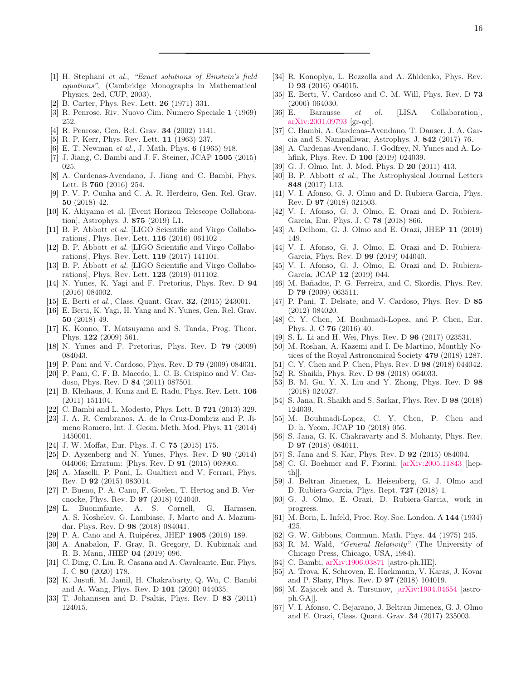- <span id="page-15-0"></span>[1] H. Stephani et al., "Exact solutions of Einstein's field equations", (Cambridge Monographs in Mathematical Physics, 2ed, CUP, 2003).
- <span id="page-15-1"></span>[2] B. Carter, Phys. Rev. Lett. 26 (1971) 331.
- [3] R. Penrose, Riv. Nuovo Cim. Numero Speciale 1 (1969) 252.
- <span id="page-15-2"></span>[4] R. Penrose, Gen. Rel. Grav. 34 (2002) 1141.
- <span id="page-15-3"></span>[5] R. P. Kerr, Phys. Rev. Lett. 11 (1963) 237.
- <span id="page-15-4"></span>[6] E. T. Newman et al., J. Math. Phys. **6** (1965) 918.
- <span id="page-15-5"></span>[7] J. Jiang, C. Bambi and J. F. Steiner, JCAP 1505 (2015) 025.
- <span id="page-15-6"></span>[8] A. Cardenas-Avendano, J. Jiang and C. Bambi, Phys. Lett. B 760 (2016) 254.
- <span id="page-15-7"></span>[9] P. V. P. Cunha and C. A. R. Herdeiro, Gen. Rel. Grav. 50 (2018) 42.
- <span id="page-15-8"></span>[10] K. Akiyama et al. [Event Horizon Telescope Collaboration], Astrophys. J. 875 (2019) L1.
- <span id="page-15-9"></span>[11] B. P. Abbott et al. [LIGO Scientific and Virgo Collaborations], Phys. Rev. Lett. 116 (2016) 061102 .
- <span id="page-15-10"></span>[12] B. P. Abbott *et al.* [LIGO Scientific and Virgo Collaborations], Phys. Rev. Lett. 119 (2017) 141101.
- <span id="page-15-11"></span>[13] B. P. Abbott *et al.* [LIGO Scientific and Virgo Collaborations], Phys. Rev. Lett. 123 (2019) 011102.
- <span id="page-15-12"></span>[14] N. Yunes, K. Yagi and F. Pretorius, Phys. Rev. D 94 (2016) 084002.
- [15] E. Berti et al., Class. Quant. Grav. 32, (2015) 243001.
- <span id="page-15-13"></span>[16] E. Berti, K. Yagi, H. Yang and N. Yunes, Gen. Rel. Grav. 50 (2018) 49.
- <span id="page-15-14"></span>[17] K. Konno, T. Matsuyama and S. Tanda, Prog. Theor. Phys. 122 (2009) 561.
- [18] N. Yunes and F. Pretorius, Phys. Rev. D 79 (2009) 084043.
- [19] P. Pani and V. Cardoso, Phys. Rev. D 79 (2009) 084031.
- [20] P. Pani, C. F. B. Macedo, L. C. B. Crispino and V. Cardoso, Phys. Rev. D 84 (2011) 087501.
- [21] B. Kleihaus, J. Kunz and E. Radu, Phys. Rev. Lett. 106 (2011) 151104.
- [22] C. Bambi and L. Modesto, Phys. Lett. B 721 (2013) 329.
- [23] J. A. R. Cembranos, A. de la Cruz-Dombriz and P. Jimeno Romero, Int. J. Geom. Meth. Mod. Phys. 11 (2014) 1450001.
- [24] J. W. Moffat, Eur. Phys. J. C 75 (2015) 175.
- [25] D. Ayzenberg and N. Yunes, Phys. Rev. D 90 (2014) 044066; Erratum: [Phys. Rev. D 91 (2015) 069905.
- [26] A. Maselli, P. Pani, L. Gualtieri and V. Ferrari, Phys. Rev. D 92 (2015) 083014.
- [27] P. Bueno, P. A. Cano, F. Goelen, T. Hertog and B. Vercnocke, Phys. Rev. D 97 (2018) 024040.
- [28] L. Buoninfante, A. S. Cornell, G. Harmsen, A. S. Koshelev, G. Lambiase, J. Marto and A. Mazumdar, Phys. Rev. D 98 (2018) 084041.
- [29] P. A. Cano and A. Ruipérez, JHEP 1905 (2019) 189.
- [30] A. Anabalon, F. Gray, R. Gregory, D. Kubiznak and R. B. Mann, JHEP 04 (2019) 096.
- [31] C. Ding, C. Liu, R. Casana and A. Cavalcante, Eur. Phys. J. C 80 (2020) 178.
- <span id="page-15-15"></span>[32] K. Jusufi, M. Jamil, H. Chakrabarty, Q. Wu, C. Bambi and A. Wang, Phys. Rev. D 101 (2020) 044035.
- <span id="page-15-16"></span>[33] T. Johannsen and D. Psaltis, Phys. Rev. D 83 (2011) 124015.
- <span id="page-15-17"></span>[34] R. Konoplya, L. Rezzolla and A. Zhidenko, Phys. Rev. D **93** (2016) 064015.
- <span id="page-15-18"></span>[35] E. Berti, V. Cardoso and C. M. Will, Phys. Rev. D 73 (2006) 064030.
- <span id="page-15-19"></span>[36] E. Barausse et al. [LISA Collaboration], [arXiv:2001.09793](http://arxiv.org/abs/2001.09793) [gr-qc].
- <span id="page-15-20"></span>[37] C. Bambi, A. Cardenas-Avendano, T. Dauser, J. A. Garcia and S. Nampalliwar, Astrophys. J. 842 (2017) 76.
- <span id="page-15-21"></span>[38] A. Cardenas-Avendano, J. Godfrey, N. Yunes and A. Lohfink, Phys. Rev. D 100 (2019) 024039.
- <span id="page-15-22"></span>[39] G. J. Olmo, Int. J. Mod. Phys. D 20 (2011) 413.
- <span id="page-15-23"></span>[40] B. P. Abbott et al., The Astrophysical Journal Letters 848 (2017) L13.
- <span id="page-15-24"></span>[41] V. I. Afonso, G. J. Olmo and D. Rubiera-Garcia, Phys. Rev. D 97 (2018) 021503.
- <span id="page-15-25"></span>[42] V. I. Afonso, G. J. Olmo, E. Orazi and D. Rubiera-Garcia, Eur. Phys. J. C 78 (2018) 866.
- <span id="page-15-26"></span>[43] A. Delhom, G. J. Olmo and E. Orazi, JHEP 11 (2019) 149.
- <span id="page-15-27"></span>[44] V. I. Afonso, G. J. Olmo, E. Orazi and D. Rubiera-Garcia, Phys. Rev. D 99 (2019) 044040.
- <span id="page-15-28"></span>[45] V. I. Afonso, G. J. Olmo, E. Orazi and D. Rubiera-Garcia, JCAP 12 (2019) 044.
- <span id="page-15-29"></span>[46] M. Bañados, P. G. Ferreira, and C. Skordis, Phys. Rev. D 79 (2009) 063511.
- <span id="page-15-30"></span>[47] P. Pani, T. Delsate, and V. Cardoso, Phys. Rev. D 85 (2012) 084020.
- [48] C. Y. Chen, M. Bouhmadi-Lopez, and P. Chen, Eur. Phys. J. C 76 (2016) 40.
- [49] S. L. Li and H. Wei, Phys. Rev. D 96 (2017) 023531.
- [50] M. Roshan, A. Kazemi and I. De Martino, Monthly Notices of the Royal Astronomical Society 479 (2018) 1287.
- [51] C. Y. Chen and P. Chen, Phys. Rev. D 98 (2018) 044042.
- [52] R. Shaikh, Phys. Rev. D 98 (2018) 064033.
- [53] B. M. Gu, Y. X. Liu and Y. Zhong, Phys. Rev. D 98 (2018) 024027.
- [54] S. Jana, R. Shaikh and S. Sarkar, Phys. Rev. D 98 (2018) 124039.
- [55] M. Bouhmadi-Lopez, C. Y. Chen, P. Chen and D. h. Yeom, JCAP 10 (2018) 056.
- [56] S. Jana, G. K. Chakravarty and S. Mohanty, Phys. Rev. D **97** (2018) 084011.
- <span id="page-15-41"></span>[57] S. Jana and S. Kar, Phys. Rev. D 92 (2015) 084004.
- <span id="page-15-31"></span>[58] C. G. Boehmer and F. Fiorini, [\[arXiv:2005.11843](http://arxiv.org/abs/2005.11843) [hepth]].
- <span id="page-15-32"></span>[59] J. Beltran Jimenez, L. Heisenberg, G. J. Olmo and D. Rubiera-Garcia, Phys. Rept. 727 (2018) 1.
- <span id="page-15-40"></span>[60] G. J. Olmo, E. Orazi, D. Rubiera-Garcia, work in progress.
- <span id="page-15-33"></span>[61] M. Born, L. Infeld, Proc. Roy. Soc. London. A 144 (1934) 425.
- <span id="page-15-34"></span>[62] G. W. Gibbons, Commun. Math. Phys. 44 (1975) 245.
- <span id="page-15-35"></span>[63] R. M. Wald, "General Relativity" (The University of Chicago Press, Chicago, USA, 1984).
- <span id="page-15-36"></span>[64] C. Bambi, [arXiv:1906.03871](http://arxiv.org/abs/1906.03871) [astro-ph.HE].
- <span id="page-15-37"></span>[65] A. Trova, K. Schroven, E. Hackmann, V. Karas, J. Kovar and P. Slany, Phys. Rev. D 97 (2018) 104019.
- <span id="page-15-38"></span>[66] M. Zajacek and A. Tursunov, [\[arXiv:1904.04654](http://arxiv.org/abs/1904.04654) [astroph.GA]].
- <span id="page-15-39"></span>[67] V. I. Afonso, C. Bejarano, J. Beltran Jimenez, G. J. Olmo and E. Orazi, Class. Quant. Grav. 34 (2017) 235003.